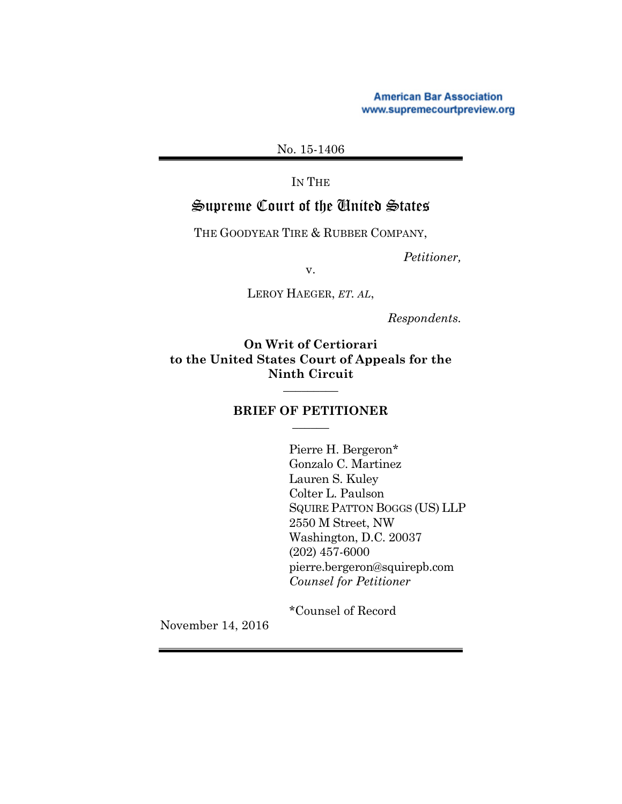**American Bar Association** www.supremecourtpreview.org

No. 15-1406

IN THE

# Supreme Court of the United States

THE GOODYEAR TIRE & RUBBER COMPANY,

*Petitioner,*

v.

LEROY HAEGER, *ET. AL*,

*Respondents.*

**On Writ of Certiorari to the United States Court of Appeals for the Ninth Circuit** \_\_\_\_\_\_\_\_\_

#### **BRIEF OF PETITIONER** \_\_\_\_\_\_

Pierre H. Bergeron\* Gonzalo C. Martinez Lauren S. Kuley Colter L. Paulson SQUIRE PATTON BOGGS (US) LLP 2550 M Street, NW Washington, D.C. 20037 (202) 457-6000 pierre.bergeron@squirepb.com *Counsel for Petitioner*

\*Counsel of Record

November 14, 2016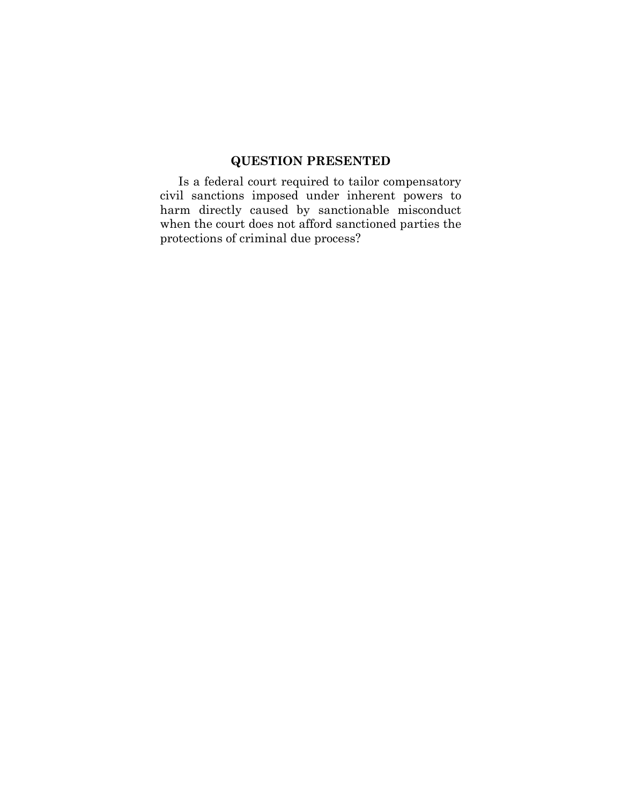# **QUESTION PRESENTED**

Is a federal court required to tailor compensatory civil sanctions imposed under inherent powers to harm directly caused by sanctionable misconduct when the court does not afford sanctioned parties the protections of criminal due process?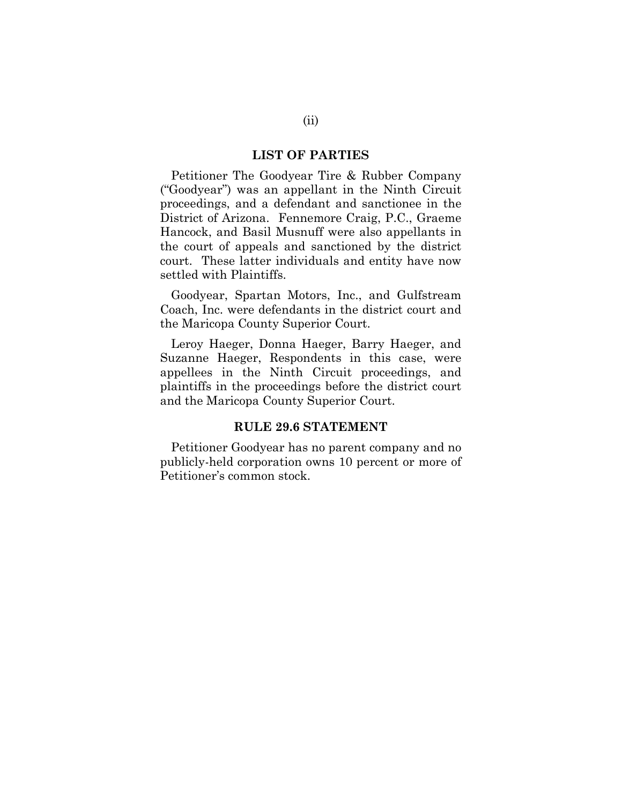#### **LIST OF PARTIES**

Petitioner The Goodyear Tire & Rubber Company ("Goodyear") was an appellant in the Ninth Circuit proceedings, and a defendant and sanctionee in the District of Arizona. Fennemore Craig, P.C., Graeme Hancock, and Basil Musnuff were also appellants in the court of appeals and sanctioned by the district court. These latter individuals and entity have now settled with Plaintiffs.

Goodyear, Spartan Motors, Inc., and Gulfstream Coach, Inc. were defendants in the district court and the Maricopa County Superior Court.

Leroy Haeger, Donna Haeger, Barry Haeger, and Suzanne Haeger, Respondents in this case, were appellees in the Ninth Circuit proceedings, and plaintiffs in the proceedings before the district court and the Maricopa County Superior Court.

### **RULE 29.6 STATEMENT**

Petitioner Goodyear has no parent company and no publicly-held corporation owns 10 percent or more of Petitioner's common stock.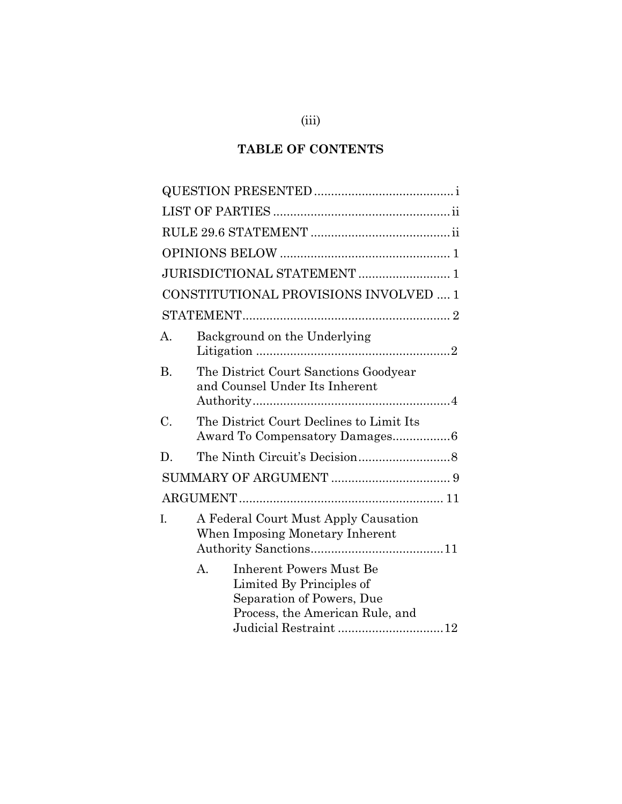# **TABLE OF CONTENTS**

|           | JURISDICTIONAL STATEMENT  1                                                                                                                                        |
|-----------|--------------------------------------------------------------------------------------------------------------------------------------------------------------------|
|           | CONSTITUTIONAL PROVISIONS INVOLVED  1                                                                                                                              |
|           |                                                                                                                                                                    |
| А.        | Background on the Underlying                                                                                                                                       |
| <b>B.</b> | The District Court Sanctions Goodyear<br>and Counsel Under Its Inherent                                                                                            |
| C.        | The District Court Declines to Limit Its                                                                                                                           |
| D.        |                                                                                                                                                                    |
|           |                                                                                                                                                                    |
|           |                                                                                                                                                                    |
| I.        | A Federal Court Must Apply Causation<br>When Imposing Monetary Inherent                                                                                            |
|           | $A_{\cdot}$<br><b>Inherent Powers Must Be</b><br>Limited By Principles of<br>Separation of Powers, Due<br>Process, the American Rule, and<br>Judicial Restraint 12 |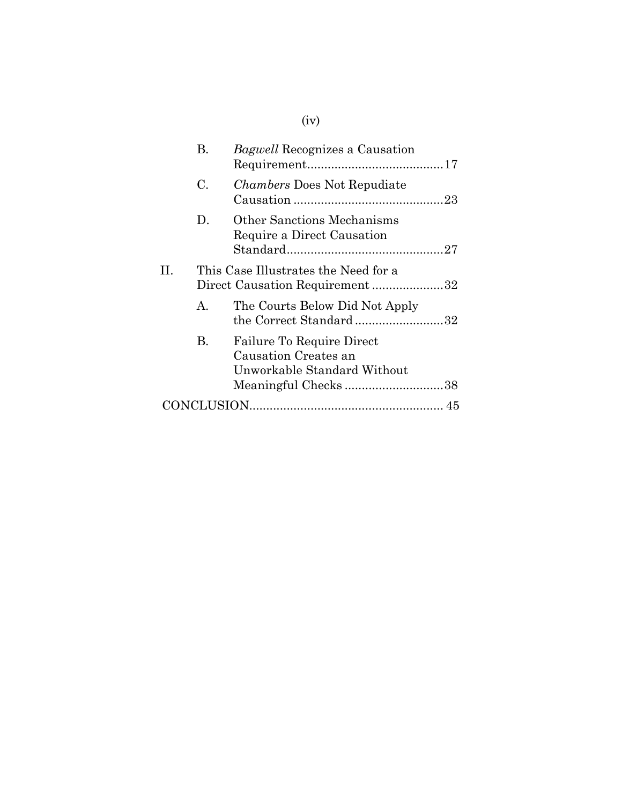|     | В.           | <i>Bagwell</i> Recognizes a Causation                                                                   |  |
|-----|--------------|---------------------------------------------------------------------------------------------------------|--|
|     | C.           | <i>Chambers</i> Does Not Repudiate                                                                      |  |
|     | D.           | <b>Other Sanctions Mechanisms</b><br>Require a Direct Causation                                         |  |
| II. |              | This Case Illustrates the Need for a<br>Direct Causation Requirement32                                  |  |
|     | $\mathbf{A}$ | The Courts Below Did Not Apply<br>the Correct Standard32                                                |  |
|     | В.           | Failure To Require Direct<br>Causation Creates an<br>Unworkable Standard Without<br>Meaningful Checks38 |  |
|     |              |                                                                                                         |  |

# (iv)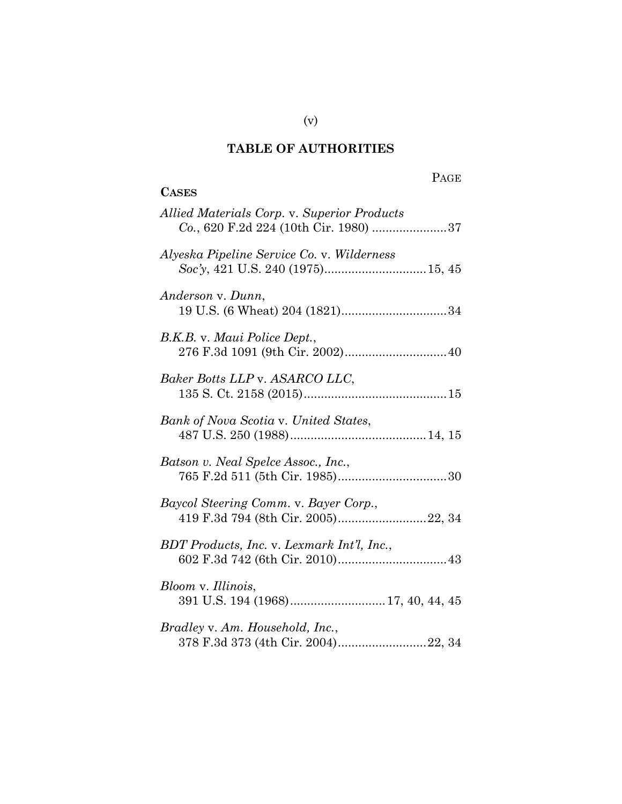# **TABLE OF AUTHORITIES**

**CASES**

# PAGE

| Allied Materials Corp. v. Superior Products<br>Co., 620 F.2d 224 (10th Cir. 1980) 37 |
|--------------------------------------------------------------------------------------|
| Alyeska Pipeline Service Co. v. Wilderness                                           |
| Anderson v. Dunn,                                                                    |
| B.K.B. v. Maui Police Dept.,                                                         |
| Baker Botts LLP v. ASARCO LLC,                                                       |
| Bank of Nova Scotia v. United States,                                                |
| Batson v. Neal Spelce Assoc., Inc.,                                                  |
| Baycol Steering Comm. v. Bayer Corp.,<br>419 F.3d 794 (8th Cir. 2005)22, 34          |
| BDT Products, Inc. v. Lexmark Int'l, Inc.,                                           |
| Bloom v. Illinois,<br>391 U.S. 194 (1968) 17, 40, 44, 45                             |
| Bradley v. Am. Household, Inc.,<br>378 F.3d 373 (4th Cir. 2004)22, 34                |

(v)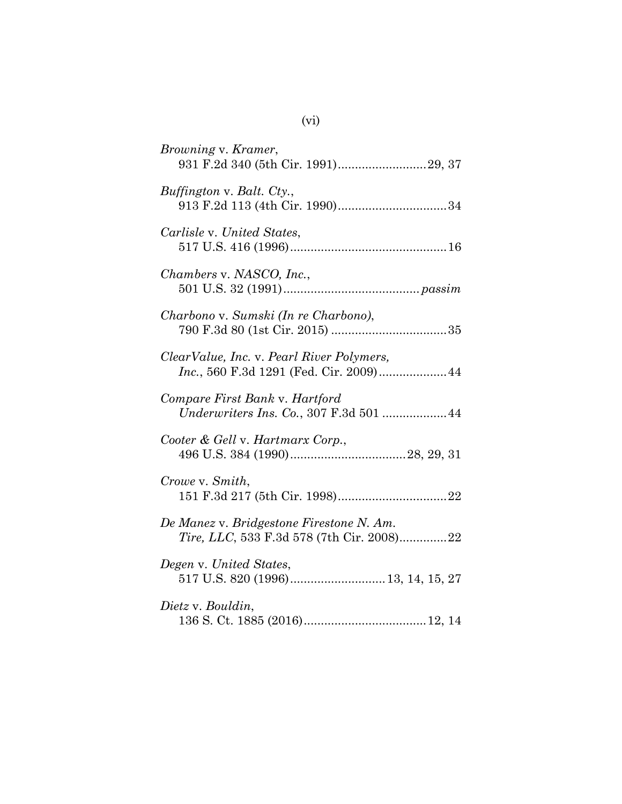| <i>Browning v. Kramer,</i><br>931 F.2d 340 (5th Cir. 1991)29, 37                      |
|---------------------------------------------------------------------------------------|
| Buffington v. Balt. Cty.,<br>913 F.2d 113 (4th Cir. 1990)34                           |
| Carlisle v. United States,                                                            |
| Chambers v. NASCO, Inc.,                                                              |
| Charbono v. Sumski (In re Charbono),                                                  |
| ClearValue, Inc. v. Pearl River Polymers,<br>Inc., 560 F.3d 1291 (Fed. Cir. 2009) 44  |
| Compare First Bank v. Hartford<br>Underwriters Ins. Co., 307 F.3d 501  44             |
| Cooter & Gell v. Hartmarx Corp.,                                                      |
| Crowe v. Smith,                                                                       |
| De Manez v. Bridgestone Firestone N. Am.<br>Tire, LLC, 533 F.3d 578 (7th Cir. 2008)22 |
| Degen v. United States,                                                               |
| Dietz v. Bouldin,                                                                     |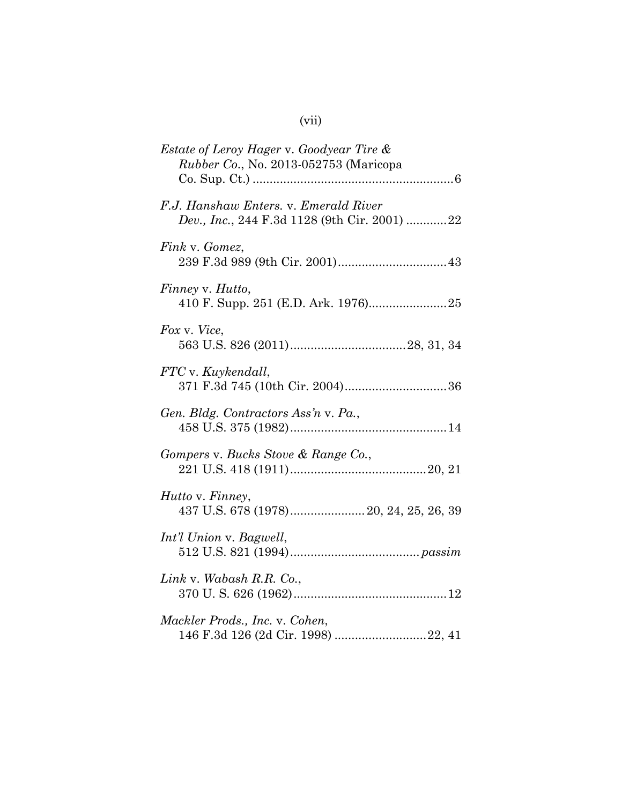| <i>Estate of Leroy Hager v. Goodyear Tire &amp;</i><br><i>Rubber Co., No. 2013-052753 (Maricopa</i> |
|-----------------------------------------------------------------------------------------------------|
| F.J. Hanshaw Enters. v. Emerald River<br>Dev., Inc., 244 F.3d 1128 (9th Cir. 2001) 22               |
| Fink v. Gomez,                                                                                      |
| Finney v. Hutto,                                                                                    |
| Fox v. Vice,                                                                                        |
| FTC v. Kuykendall,<br>371 F.3d 745 (10th Cir. 2004)36                                               |
| Gen. Bldg. Contractors Ass'n v. Pa.,                                                                |
| Gompers v. Bucks Stove & Range Co.,                                                                 |
| Hutto v. Finney,<br>437 U.S. 678 (1978) 20, 24, 25, 26, 39                                          |
| Int'l Union v. Bagwell,                                                                             |
| Link v. Wabash R.R. Co.,                                                                            |
| Mackler Prods., Inc. v. Cohen,<br>146 F.3d 126 (2d Cir. 1998) 22, 41                                |

# (vii)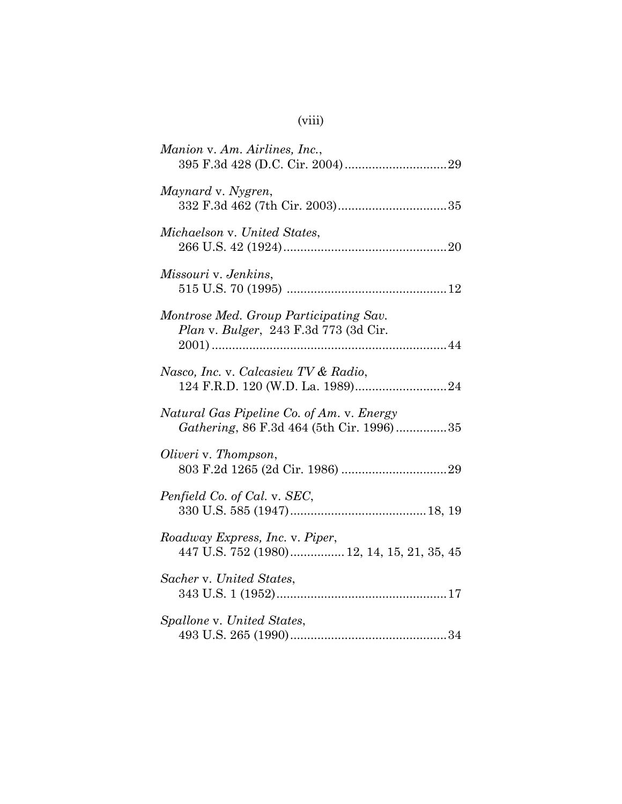| Manion v. Am. Airlines, Inc.,                                                         |
|---------------------------------------------------------------------------------------|
| Maynard v. Nygren,                                                                    |
| Michaelson v. United States,                                                          |
| Missouri v. Jenkins,                                                                  |
| Montrose Med. Group Participating Sav.<br>Plan v. Bulger, 243 F.3d 773 (3d Cir.       |
| Nasco, Inc. v. Calcasieu TV & Radio,                                                  |
| Natural Gas Pipeline Co. of Am. v. Energy<br>Gathering, 86 F.3d 464 (5th Cir. 1996)35 |
| Oliveri v. Thompson,                                                                  |
| Penfield Co. of Cal. v. SEC,                                                          |
| Roadway Express, Inc. v. Piper,<br>447 U.S. 752 (1980) 12, 14, 15, 21, 35, 45         |
| Sacher v. United States,                                                              |
| Spallone v. United States,                                                            |

(viii)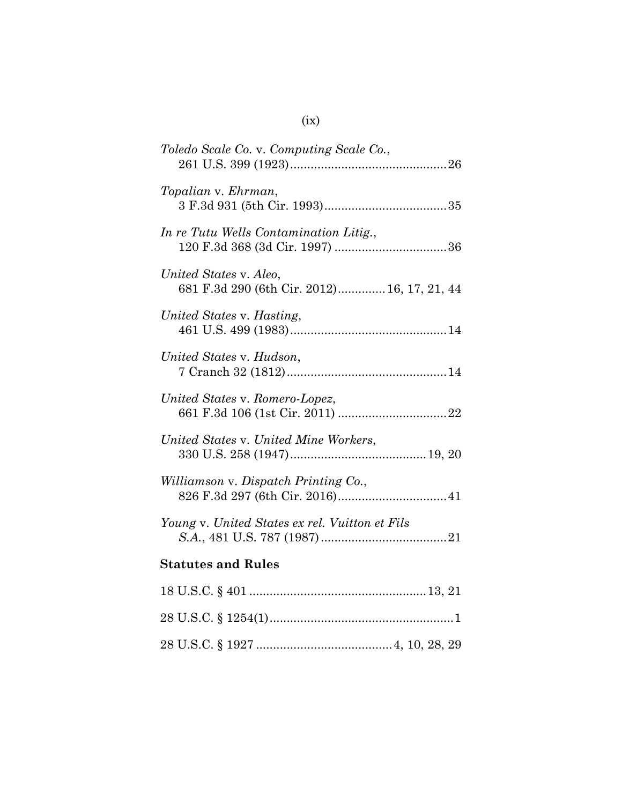| Toledo Scale Co. v. Computing Scale Co.,                              |
|-----------------------------------------------------------------------|
| Topalian v. Ehrman,                                                   |
| In re Tutu Wells Contamination Litig.,                                |
| United States v. Aleo,<br>681 F.3d 290 (6th Cir. 2012) 16, 17, 21, 44 |
| United States v. Hasting,                                             |
| United States v. Hudson,                                              |
| United States v. Romero-Lopez,                                        |
| United States v. United Mine Workers,                                 |
| Williamson v. Dispatch Printing Co.,                                  |
| Young v. United States ex rel. Vuitton et Fils                        |
| <b>Statutes and Rules</b>                                             |
|                                                                       |
|                                                                       |
|                                                                       |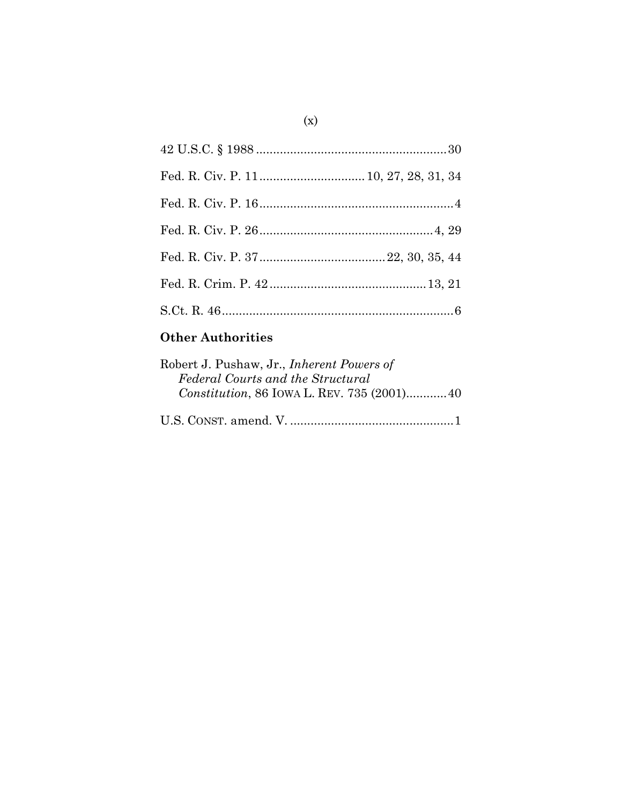# **Other Authorities**

| Robert J. Pushaw, Jr., <i>Inherent Powers of</i> |  |
|--------------------------------------------------|--|
| Federal Courts and the Structural                |  |
| Constitution, 86 IOWA L. REV. 735 (2001) 40      |  |
|                                                  |  |
|                                                  |  |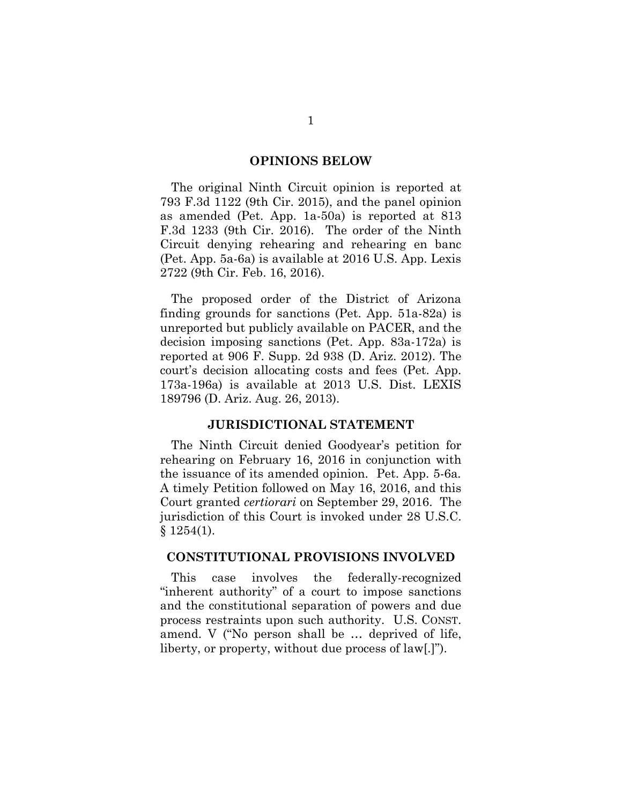#### **OPINIONS BELOW**

The original Ninth Circuit opinion is reported at 793 F.3d 1122 (9th Cir. 2015), and the panel opinion as amended (Pet. App. 1a-50a) is reported at 813 F.3d 1233 (9th Cir. 2016). The order of the Ninth Circuit denying rehearing and rehearing en banc (Pet. App. 5a-6a) is available at 2016 U.S. App. Lexis 2722 (9th Cir. Feb. 16, 2016).

The proposed order of the District of Arizona finding grounds for sanctions (Pet. App. 51a-82a) is unreported but publicly available on PACER, and the decision imposing sanctions (Pet. App. 83a-172a) is reported at 906 F. Supp. 2d 938 (D. Ariz. 2012). The court's decision allocating costs and fees (Pet. App. 173a-196a) is available at 2013 U.S. Dist. LEXIS 189796 (D. Ariz. Aug. 26, 2013).

#### **JURISDICTIONAL STATEMENT**

The Ninth Circuit denied Goodyear's petition for rehearing on February 16, 2016 in conjunction with the issuance of its amended opinion. Pet. App. 5-6a*.* A timely Petition followed on May 16, 2016, and this Court granted *certiorari* on September 29, 2016. The jurisdiction of this Court is invoked under 28 U.S.C.  $§ 1254(1).$ 

#### **CONSTITUTIONAL PROVISIONS INVOLVED**

This case involves the federally-recognized "inherent authority" of a court to impose sanctions and the constitutional separation of powers and due process restraints upon such authority. U.S. CONST. amend. V ("No person shall be … deprived of life, liberty, or property, without due process of law[.]").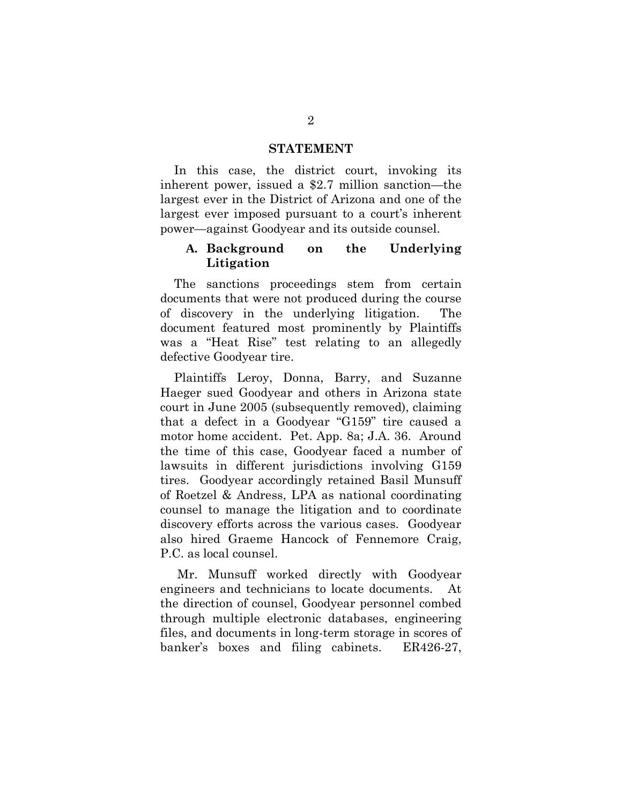#### **STATEMENT**

In this case, the district court, invoking its inherent power, issued a \$2.7 million sanction—the largest ever in the District of Arizona and one of the largest ever imposed pursuant to a court's inherent power—against Goodyear and its outside counsel.

### **A. Background on the Underlying Litigation**

The sanctions proceedings stem from certain documents that were not produced during the course of discovery in the underlying litigation. The document featured most prominently by Plaintiffs was a "Heat Rise" test relating to an allegedly defective Goodyear tire.

Plaintiffs Leroy, Donna, Barry, and Suzanne Haeger sued Goodyear and others in Arizona state court in June 2005 (subsequently removed), claiming that a defect in a Goodyear "G159" tire caused a motor home accident. Pet. App. 8a; J.A. 36. Around the time of this case, Goodyear faced a number of lawsuits in different jurisdictions involving G159 tires. Goodyear accordingly retained Basil Munsuff of Roetzel & Andress, LPA as national coordinating counsel to manage the litigation and to coordinate discovery efforts across the various cases. Goodyear also hired Graeme Hancock of Fennemore Craig, P.C. as local counsel.

Mr. Munsuff worked directly with Goodyear engineers and technicians to locate documents. At the direction of counsel, Goodyear personnel combed through multiple electronic databases, engineering files, and documents in long-term storage in scores of banker's boxes and filing cabinets. ER426-27,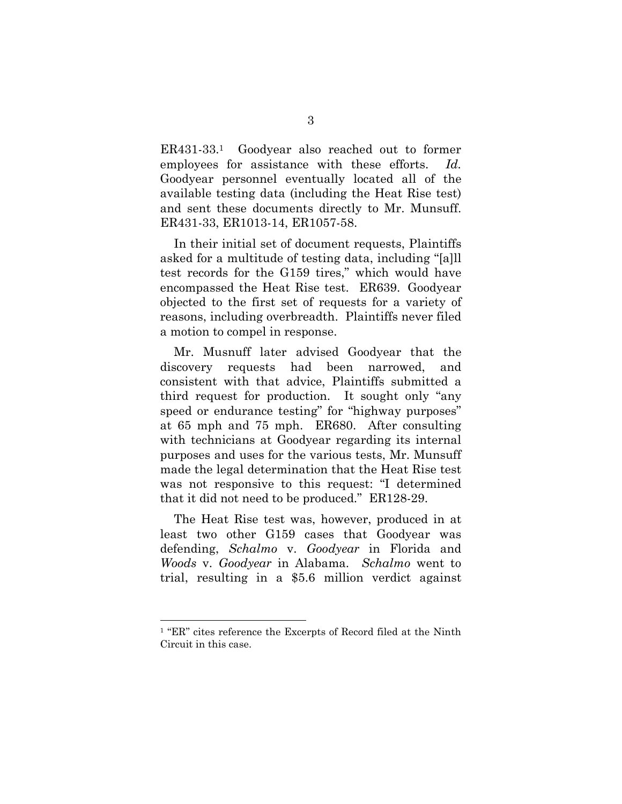ER431-33.<sup>1</sup> Goodyear also reached out to former employees for assistance with these efforts. *Id.* Goodyear personnel eventually located all of the available testing data (including the Heat Rise test) and sent these documents directly to Mr. Munsuff. ER431-33, ER1013-14, ER1057-58.

In their initial set of document requests, Plaintiffs asked for a multitude of testing data, including "[a]ll test records for the G159 tires," which would have encompassed the Heat Rise test. ER639. Goodyear objected to the first set of requests for a variety of reasons, including overbreadth. Plaintiffs never filed a motion to compel in response.

Mr. Musnuff later advised Goodyear that the discovery requests had been narrowed, and consistent with that advice, Plaintiffs submitted a third request for production. It sought only "any speed or endurance testing" for "highway purposes" at 65 mph and 75 mph. ER680. After consulting with technicians at Goodyear regarding its internal purposes and uses for the various tests, Mr. Munsuff made the legal determination that the Heat Rise test was not responsive to this request: "I determined that it did not need to be produced." ER128-29.

The Heat Rise test was, however, produced in at least two other G159 cases that Goodyear was defending, *Schalmo* v. *Goodyear* in Florida and *Woods* v. *Goodyear* in Alabama. *Schalmo* went to trial, resulting in a \$5.6 million verdict against

<sup>1</sup> "ER" cites reference the Excerpts of Record filed at the Ninth Circuit in this case.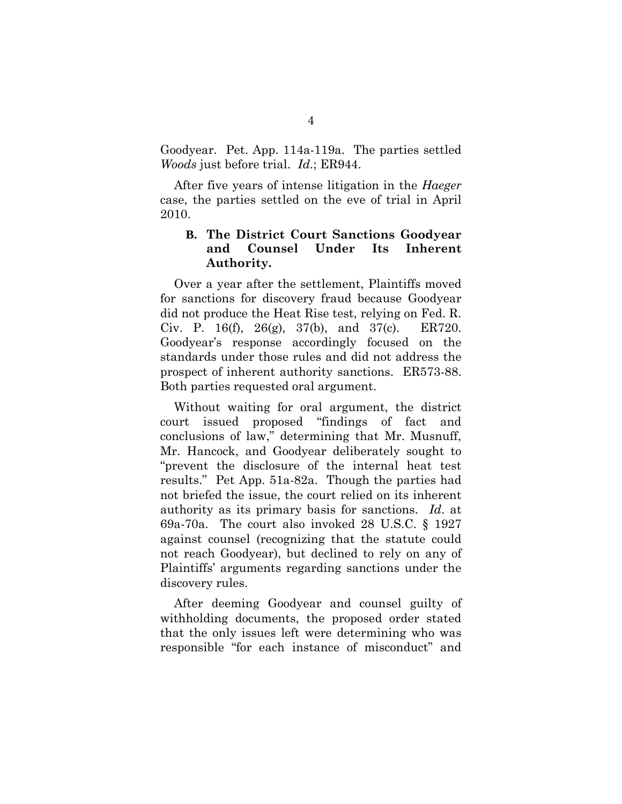Goodyear. Pet. App. 114a-119a. The parties settled *Woods* just before trial. *Id*.; ER944.

After five years of intense litigation in the *Haeger* case, the parties settled on the eve of trial in April 2010.

# **B. The District Court Sanctions Goodyear and Counsel Under Its Inherent Authority.**

Over a year after the settlement, Plaintiffs moved for sanctions for discovery fraud because Goodyear did not produce the Heat Rise test, relying on Fed. R. Civ. P. 16(f), 26(g), 37(b), and 37(c). ER720. Goodyear's response accordingly focused on the standards under those rules and did not address the prospect of inherent authority sanctions. ER573-88. Both parties requested oral argument.

Without waiting for oral argument, the district court issued proposed "findings of fact and conclusions of law," determining that Mr. Musnuff, Mr. Hancock, and Goodyear deliberately sought to "prevent the disclosure of the internal heat test results." Pet App. 51a-82a. Though the parties had not briefed the issue, the court relied on its inherent authority as its primary basis for sanctions. *Id*. at 69a-70a. The court also invoked 28 U.S.C. § 1927 against counsel (recognizing that the statute could not reach Goodyear), but declined to rely on any of Plaintiffs' arguments regarding sanctions under the discovery rules.

After deeming Goodyear and counsel guilty of withholding documents, the proposed order stated that the only issues left were determining who was responsible "for each instance of misconduct" and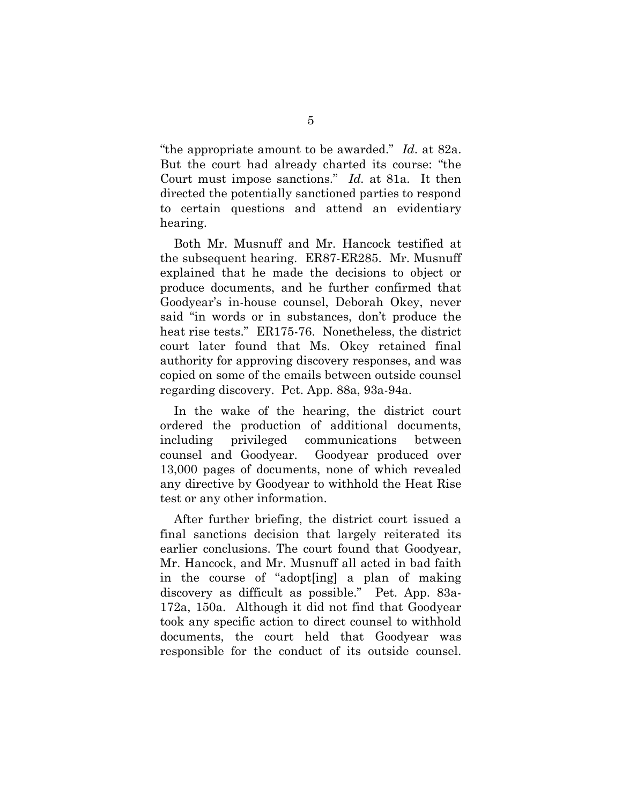"the appropriate amount to be awarded." *Id*. at 82a. But the court had already charted its course: "the Court must impose sanctions." *Id.* at 81a. It then directed the potentially sanctioned parties to respond to certain questions and attend an evidentiary hearing.

Both Mr. Musnuff and Mr. Hancock testified at the subsequent hearing. ER87-ER285. Mr. Musnuff explained that he made the decisions to object or produce documents, and he further confirmed that Goodyear's in-house counsel, Deborah Okey, never said "in words or in substances, don't produce the heat rise tests." ER175-76. Nonetheless, the district court later found that Ms. Okey retained final authority for approving discovery responses, and was copied on some of the emails between outside counsel regarding discovery. Pet. App. 88a, 93a-94a.

In the wake of the hearing, the district court ordered the production of additional documents, including privileged communications between counsel and Goodyear. Goodyear produced over 13,000 pages of documents, none of which revealed any directive by Goodyear to withhold the Heat Rise test or any other information.

After further briefing, the district court issued a final sanctions decision that largely reiterated its earlier conclusions. The court found that Goodyear, Mr. Hancock, and Mr. Musnuff all acted in bad faith in the course of "adopt[ing] a plan of making discovery as difficult as possible." Pet. App. 83a-172a, 150a. Although it did not find that Goodyear took any specific action to direct counsel to withhold documents, the court held that Goodyear was responsible for the conduct of its outside counsel.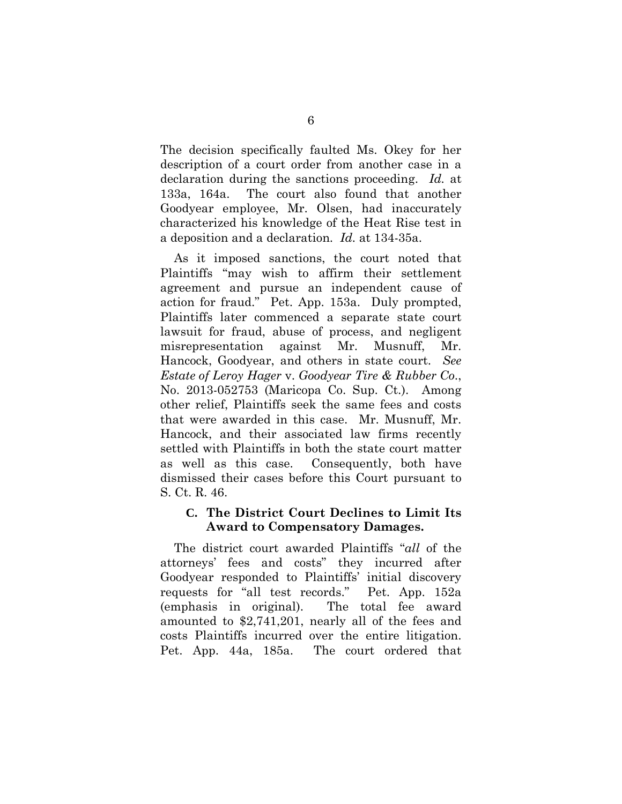The decision specifically faulted Ms. Okey for her description of a court order from another case in a declaration during the sanctions proceeding. *Id.* at 133a, 164a. The court also found that another Goodyear employee, Mr. Olsen, had inaccurately characterized his knowledge of the Heat Rise test in a deposition and a declaration. *Id.* at 134-35a.

As it imposed sanctions, the court noted that Plaintiffs "may wish to affirm their settlement agreement and pursue an independent cause of action for fraud." Pet. App. 153a. Duly prompted, Plaintiffs later commenced a separate state court lawsuit for fraud, abuse of process, and negligent misrepresentation against Mr. Musnuff, Mr. Hancock, Goodyear, and others in state court. *See Estate of Leroy Hager* v. *Goodyear Tire & Rubber Co*., No. 2013-052753 (Maricopa Co. Sup. Ct.). Among other relief, Plaintiffs seek the same fees and costs that were awarded in this case. Mr. Musnuff, Mr. Hancock, and their associated law firms recently settled with Plaintiffs in both the state court matter as well as this case. Consequently, both have dismissed their cases before this Court pursuant to S. Ct. R. 46.

## **C. The District Court Declines to Limit Its Award to Compensatory Damages.**

The district court awarded Plaintiffs "*all* of the attorneys' fees and costs" they incurred after Goodyear responded to Plaintiffs' initial discovery requests for "all test records." Pet. App. 152a (emphasis in original). The total fee award amounted to \$2,741,201, nearly all of the fees and costs Plaintiffs incurred over the entire litigation. Pet. App. 44a, 185a. The court ordered that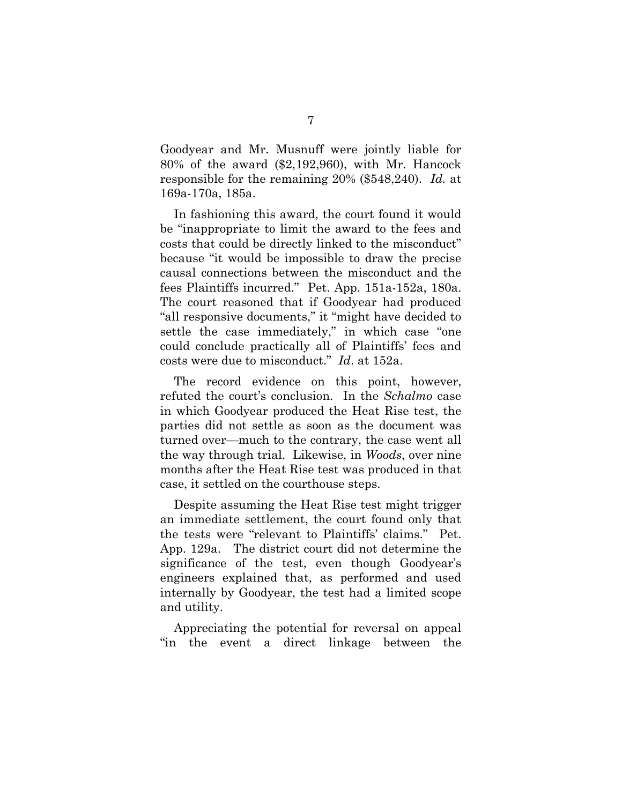Goodyear and Mr. Musnuff were jointly liable for 80% of the award (\$2,192,960), with Mr. Hancock responsible for the remaining 20% (\$548,240). *Id.* at 169a-170a, 185a.

In fashioning this award, the court found it would be "inappropriate to limit the award to the fees and costs that could be directly linked to the misconduct" because "it would be impossible to draw the precise causal connections between the misconduct and the fees Plaintiffs incurred." Pet. App. 151a-152a, 180a. The court reasoned that if Goodyear had produced "all responsive documents," it "might have decided to settle the case immediately," in which case "one could conclude practically all of Plaintiffs' fees and costs were due to misconduct." *Id*. at 152a.

The record evidence on this point, however, refuted the court's conclusion. In the *Schalmo* case in which Goodyear produced the Heat Rise test, the parties did not settle as soon as the document was turned over—much to the contrary, the case went all the way through trial. Likewise, in *Woods*, over nine months after the Heat Rise test was produced in that case, it settled on the courthouse steps.

Despite assuming the Heat Rise test might trigger an immediate settlement, the court found only that the tests were "relevant to Plaintiffs' claims." Pet. App. 129a. The district court did not determine the significance of the test, even though Goodyear's engineers explained that, as performed and used internally by Goodyear, the test had a limited scope and utility.

Appreciating the potential for reversal on appeal "in the event a direct linkage between the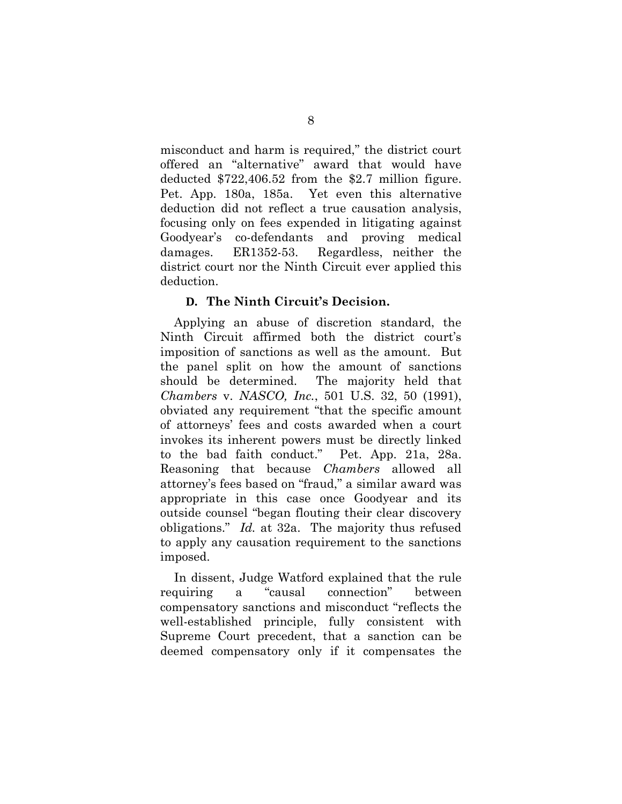misconduct and harm is required," the district court offered an "alternative" award that would have deducted \$722,406.52 from the \$2.7 million figure. Pet. App. 180a, 185a. Yet even this alternative deduction did not reflect a true causation analysis, focusing only on fees expended in litigating against Goodyear's co-defendants and proving medical damages. ER1352-53. Regardless, neither the district court nor the Ninth Circuit ever applied this deduction.

## **D. The Ninth Circuit's Decision.**

Applying an abuse of discretion standard, the Ninth Circuit affirmed both the district court's imposition of sanctions as well as the amount. But the panel split on how the amount of sanctions should be determined. The majority held that *Chambers* v. *NASCO, Inc.*, 501 U.S. 32, 50 (1991), obviated any requirement "that the specific amount of attorneys' fees and costs awarded when a court invokes its inherent powers must be directly linked to the bad faith conduct." Pet. App. 21a, 28a. Reasoning that because *Chambers* allowed all attorney's fees based on "fraud," a similar award was appropriate in this case once Goodyear and its outside counsel "began flouting their clear discovery obligations." *Id.* at 32a. The majority thus refused to apply any causation requirement to the sanctions imposed.

In dissent, Judge Watford explained that the rule requiring a "causal connection" between compensatory sanctions and misconduct "reflects the well-established principle, fully consistent with Supreme Court precedent, that a sanction can be deemed compensatory only if it compensates the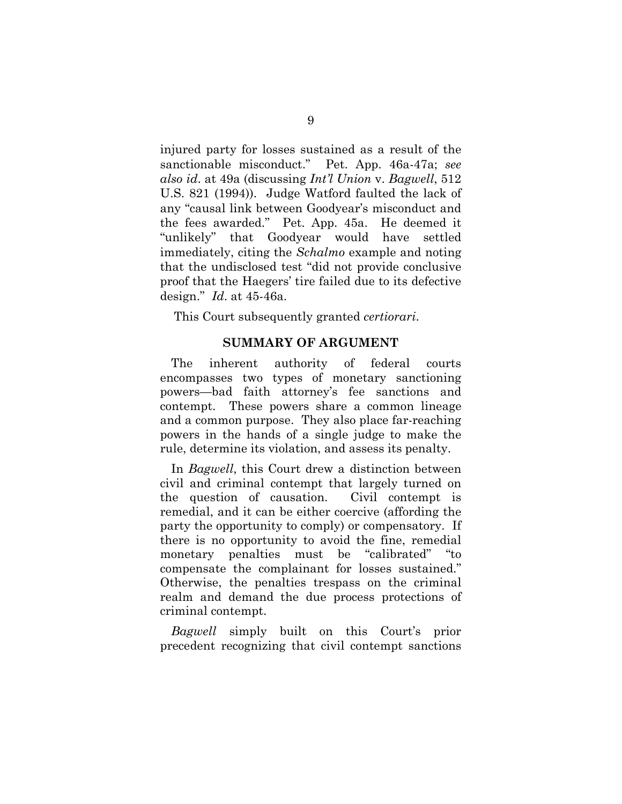injured party for losses sustained as a result of the sanctionable misconduct." Pet. App. 46a-47a; *see also id*. at 49a (discussing *Int'l Union* v. *Bagwell*, 512 U.S. 821 (1994)). Judge Watford faulted the lack of any "causal link between Goodyear's misconduct and the fees awarded." Pet. App. 45a. He deemed it "unlikely" that Goodyear would have settled immediately, citing the *Schalmo* example and noting that the undisclosed test "did not provide conclusive proof that the Haegers' tire failed due to its defective design." *Id*. at 45-46a.

This Court subsequently granted *certiorari*.

#### **SUMMARY OF ARGUMENT**

The inherent authority of federal courts encompasses two types of monetary sanctioning powers—bad faith attorney's fee sanctions and contempt. These powers share a common lineage and a common purpose. They also place far-reaching powers in the hands of a single judge to make the rule, determine its violation, and assess its penalty.

In *Bagwell*, this Court drew a distinction between civil and criminal contempt that largely turned on the question of causation. Civil contempt is remedial, and it can be either coercive (affording the party the opportunity to comply) or compensatory. If there is no opportunity to avoid the fine, remedial monetary penalties must be "calibrated" "to compensate the complainant for losses sustained." Otherwise, the penalties trespass on the criminal realm and demand the due process protections of criminal contempt.

*Bagwell* simply built on this Court's prior precedent recognizing that civil contempt sanctions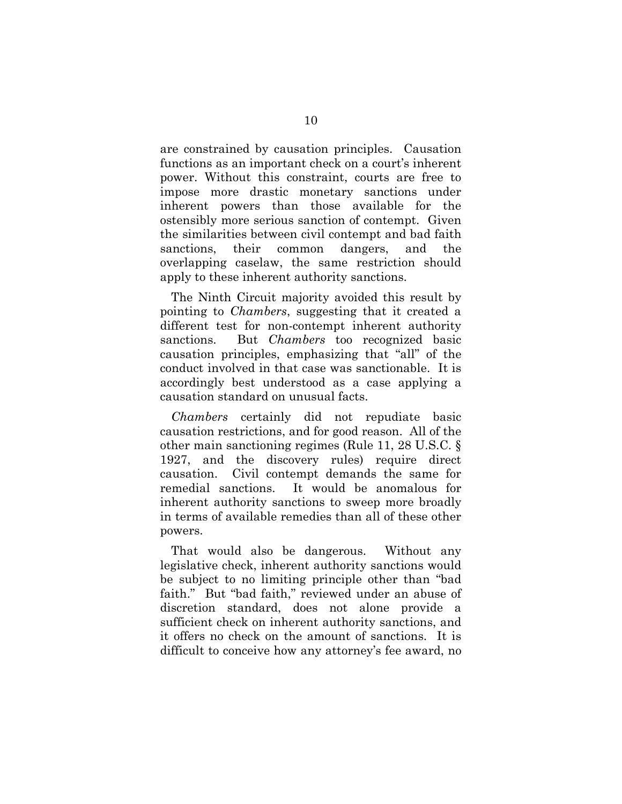are constrained by causation principles. Causation functions as an important check on a court's inherent power. Without this constraint, courts are free to impose more drastic monetary sanctions under inherent powers than those available for the ostensibly more serious sanction of contempt. Given the similarities between civil contempt and bad faith sanctions, their common dangers, and the overlapping caselaw, the same restriction should apply to these inherent authority sanctions.

The Ninth Circuit majority avoided this result by pointing to *Chambers*, suggesting that it created a different test for non-contempt inherent authority sanctions. But *Chambers* too recognized basic causation principles, emphasizing that "all" of the conduct involved in that case was sanctionable. It is accordingly best understood as a case applying a causation standard on unusual facts.

*Chambers* certainly did not repudiate basic causation restrictions, and for good reason. All of the other main sanctioning regimes (Rule 11, 28 U.S.C. § 1927, and the discovery rules) require direct causation. Civil contempt demands the same for remedial sanctions. It would be anomalous for inherent authority sanctions to sweep more broadly in terms of available remedies than all of these other powers.

That would also be dangerous. Without any legislative check, inherent authority sanctions would be subject to no limiting principle other than "bad faith." But "bad faith," reviewed under an abuse of discretion standard, does not alone provide a sufficient check on inherent authority sanctions, and it offers no check on the amount of sanctions. It is difficult to conceive how any attorney's fee award, no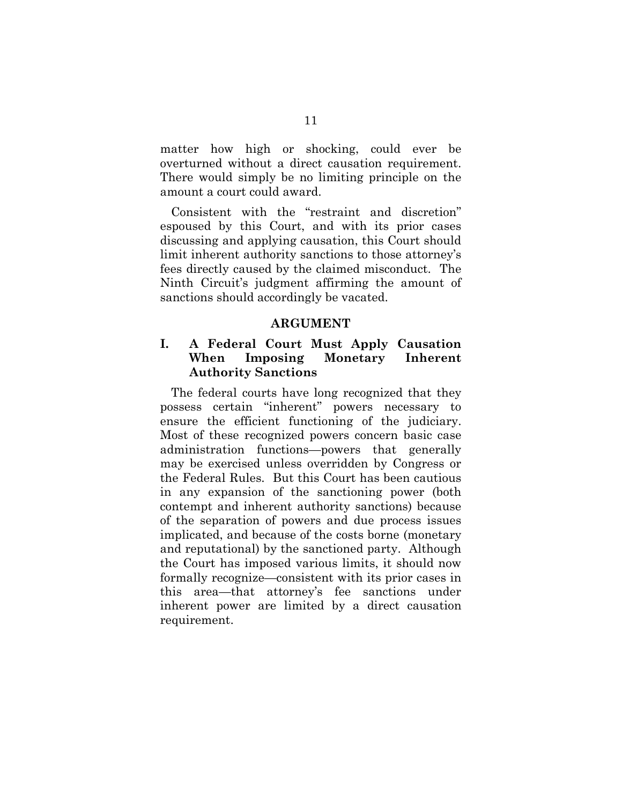matter how high or shocking, could ever be overturned without a direct causation requirement. There would simply be no limiting principle on the amount a court could award.

Consistent with the "restraint and discretion" espoused by this Court, and with its prior cases discussing and applying causation, this Court should limit inherent authority sanctions to those attorney's fees directly caused by the claimed misconduct. The Ninth Circuit's judgment affirming the amount of sanctions should accordingly be vacated.

#### **ARGUMENT**

## **I. A Federal Court Must Apply Causation When Imposing Monetary Inherent Authority Sanctions**

The federal courts have long recognized that they possess certain "inherent" powers necessary to ensure the efficient functioning of the judiciary. Most of these recognized powers concern basic case administration functions—powers that generally may be exercised unless overridden by Congress or the Federal Rules. But this Court has been cautious in any expansion of the sanctioning power (both contempt and inherent authority sanctions) because of the separation of powers and due process issues implicated, and because of the costs borne (monetary and reputational) by the sanctioned party. Although the Court has imposed various limits, it should now formally recognize—consistent with its prior cases in this area—that attorney's fee sanctions under inherent power are limited by a direct causation requirement.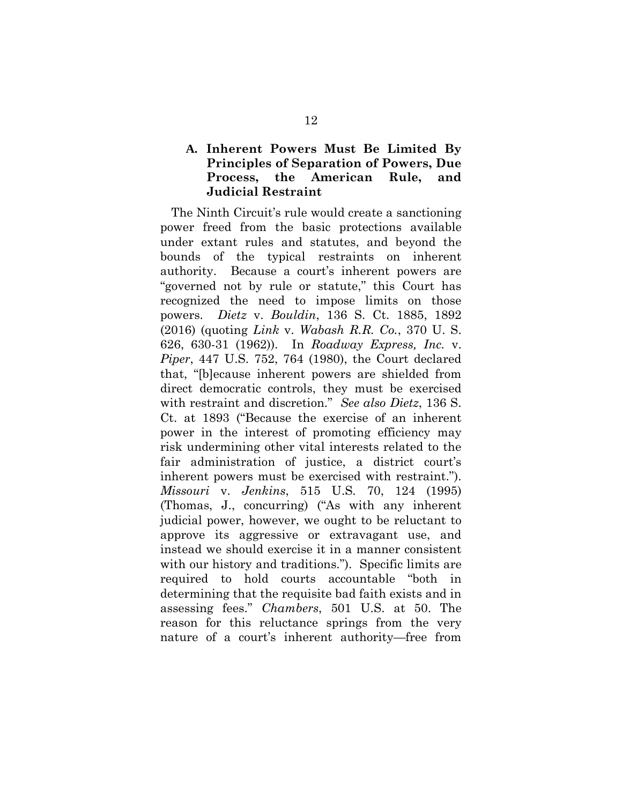# **A. Inherent Powers Must Be Limited By Principles of Separation of Powers, Due Process, the American Rule, and Judicial Restraint**

The Ninth Circuit's rule would create a sanctioning power freed from the basic protections available under extant rules and statutes, and beyond the bounds of the typical restraints on inherent authority. Because a court's inherent powers are "governed not by rule or statute," this Court has recognized the need to impose limits on those powers. *Dietz* v. *Bouldin*, 136 S. Ct. 1885, 1892 (2016) (quoting *Link* v. *Wabash R.R. Co.*, 370 U. S. 626, 630-31 (1962)). In *Roadway Express, Inc.* v. *Piper*, 447 U.S. 752, 764 (1980), the Court declared that, "[b]ecause inherent powers are shielded from direct democratic controls, they must be exercised with restraint and discretion." *See also Dietz*, 136 S. Ct. at 1893 ("Because the exercise of an inherent power in the interest of promoting efficiency may risk undermining other vital interests related to the fair administration of justice, a district court's inherent powers must be exercised with restraint."). *Missouri* v. *Jenkins*, 515 U.S. 70, 124 (1995) (Thomas, J., concurring) ("As with any inherent judicial power, however, we ought to be reluctant to approve its aggressive or extravagant use, and instead we should exercise it in a manner consistent with our history and traditions."). Specific limits are required to hold courts accountable "both in determining that the requisite bad faith exists and in assessing fees." *Chambers*, 501 U.S. at 50. The reason for this reluctance springs from the very nature of a court's inherent authority—free from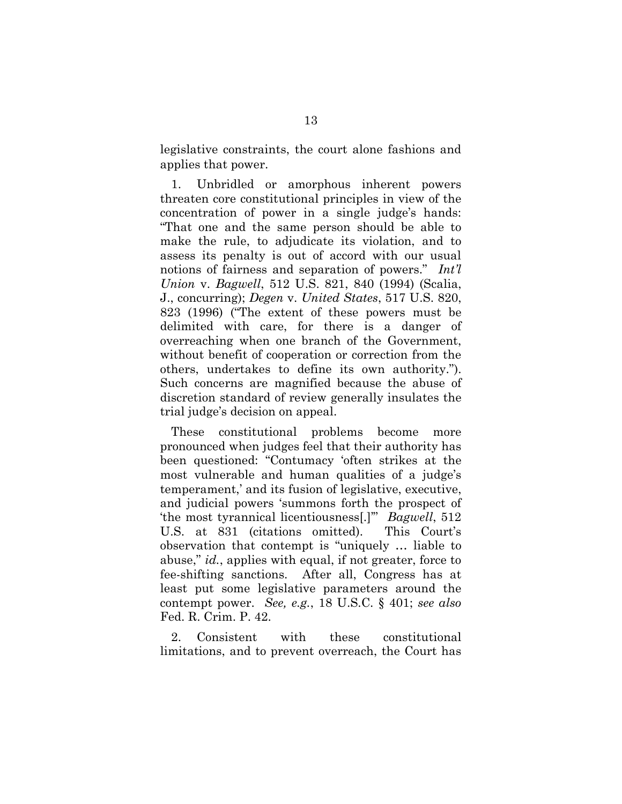legislative constraints, the court alone fashions and applies that power.

1. Unbridled or amorphous inherent powers threaten core constitutional principles in view of the concentration of power in a single judge's hands: "That one and the same person should be able to make the rule, to adjudicate its violation, and to assess its penalty is out of accord with our usual notions of fairness and separation of powers." *Int'l Union* v. *Bagwell*, 512 U.S. 821, 840 (1994) (Scalia, J., concurring); *Degen* v. *United States*, 517 U.S. 820, 823 (1996) ("The extent of these powers must be delimited with care, for there is a danger of overreaching when one branch of the Government, without benefit of cooperation or correction from the others, undertakes to define its own authority."). Such concerns are magnified because the abuse of discretion standard of review generally insulates the trial judge's decision on appeal.

These constitutional problems become more pronounced when judges feel that their authority has been questioned: "Contumacy 'often strikes at the most vulnerable and human qualities of a judge's temperament,' and its fusion of legislative, executive, and judicial powers 'summons forth the prospect of 'the most tyrannical licentiousness[.]'" *Bagwell*, 512 U.S. at 831 (citations omitted). This Court's observation that contempt is "uniquely … liable to abuse," *id.*, applies with equal, if not greater, force to fee-shifting sanctions. After all, Congress has at least put some legislative parameters around the contempt power. *See, e.g.*, 18 U.S.C. § 401; *see also* Fed. R. Crim. P. 42.

2. Consistent with these constitutional limitations, and to prevent overreach, the Court has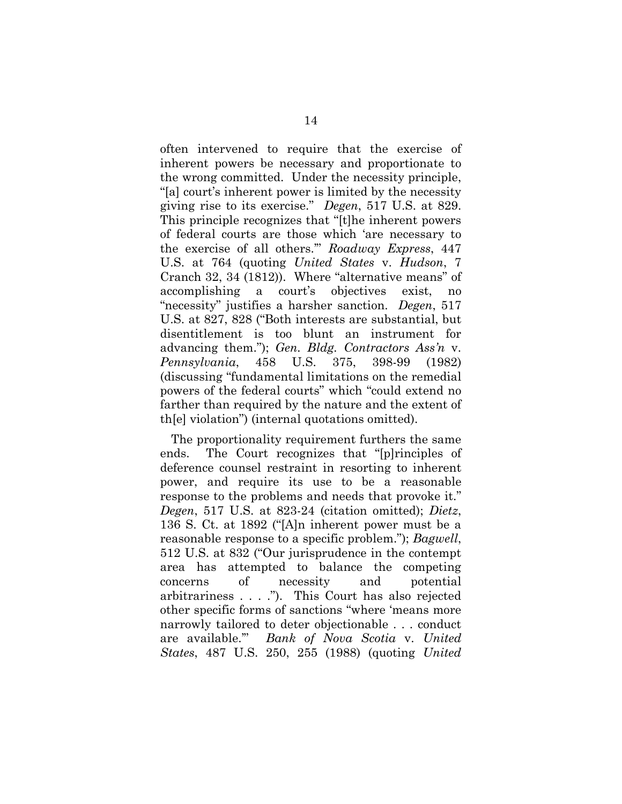often intervened to require that the exercise of inherent powers be necessary and proportionate to the wrong committed. Under the necessity principle, "[a] court's inherent power is limited by the necessity giving rise to its exercise." *Degen*, 517 U.S. at 829. This principle recognizes that "[t]he inherent powers of federal courts are those which 'are necessary to the exercise of all others.'" *Roadway Express*, 447 U.S. at 764 (quoting *United States* v. *Hudson*, 7 Cranch 32, 34 (1812)). Where "alternative means" of accomplishing a court's objectives exist, "necessity" justifies a harsher sanction. *Degen*, 517 U.S. at 827, 828 ("Both interests are substantial, but disentitlement is too blunt an instrument for advancing them."); *Gen. Bldg. Contractors Ass'n* v. *Pennsylvania*, 458 U.S. 375, 398-99 (1982) (discussing "fundamental limitations on the remedial powers of the federal courts" which "could extend no farther than required by the nature and the extent of th[e] violation") (internal quotations omitted).

The proportionality requirement furthers the same ends. The Court recognizes that "[p]rinciples of deference counsel restraint in resorting to inherent power, and require its use to be a reasonable response to the problems and needs that provoke it." *Degen*, 517 U.S. at 823-24 (citation omitted); *Dietz*, 136 S. Ct. at 1892 ("[A]n inherent power must be a reasonable response to a specific problem."); *Bagwell*, 512 U.S. at 832 ("Our jurisprudence in the contempt area has attempted to balance the competing concerns of necessity and potential arbitrariness . . . ."). This Court has also rejected other specific forms of sanctions "where 'means more narrowly tailored to deter objectionable . . . conduct are available.'" *Bank of Nova Scotia* v. *United States*, 487 U.S. 250, 255 (1988) (quoting *United*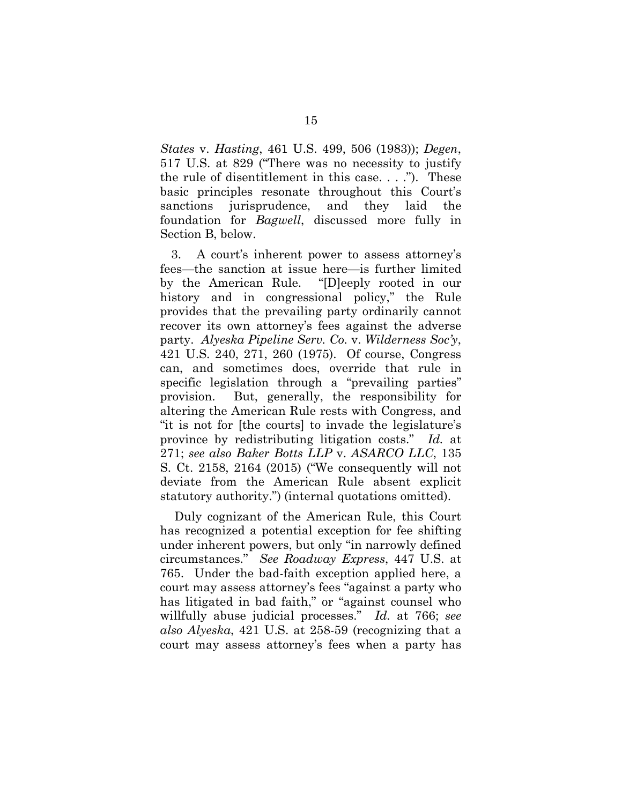*States* v. *Hasting*, 461 U.S. 499, 506 (1983)); *Degen*, 517 U.S. at 829 ("There was no necessity to justify the rule of disentitlement in this case. . . ."). These basic principles resonate throughout this Court's sanctions jurisprudence, and they laid the foundation for *Bagwell*, discussed more fully in Section B, below.

3. A court's inherent power to assess attorney's fees—the sanction at issue here—is further limited by the American Rule. "[D]eeply rooted in our history and in congressional policy," the Rule provides that the prevailing party ordinarily cannot recover its own attorney's fees against the adverse party. *Alyeska Pipeline Serv. Co.* v. *Wilderness Soc'y*, 421 U.S. 240, 271, 260 (1975). Of course, Congress can, and sometimes does, override that rule in specific legislation through a "prevailing parties" provision. But, generally, the responsibility for altering the American Rule rests with Congress, and "it is not for [the courts] to invade the legislature's province by redistributing litigation costs." *Id.* at 271; *see also Baker Botts LLP* v. *ASARCO LLC*, 135 S. Ct. 2158, 2164 (2015) ("We consequently will not deviate from the American Rule absent explicit statutory authority.") (internal quotations omitted).

Duly cognizant of the American Rule, this Court has recognized a potential exception for fee shifting under inherent powers, but only "in narrowly defined circumstances." *See Roadway Express*, 447 U.S. at 765. Under the bad-faith exception applied here, a court may assess attorney's fees "against a party who has litigated in bad faith," or "against counsel who willfully abuse judicial processes." *Id.* at 766; *see also Alyeska*, 421 U.S. at 258-59 (recognizing that a court may assess attorney's fees when a party has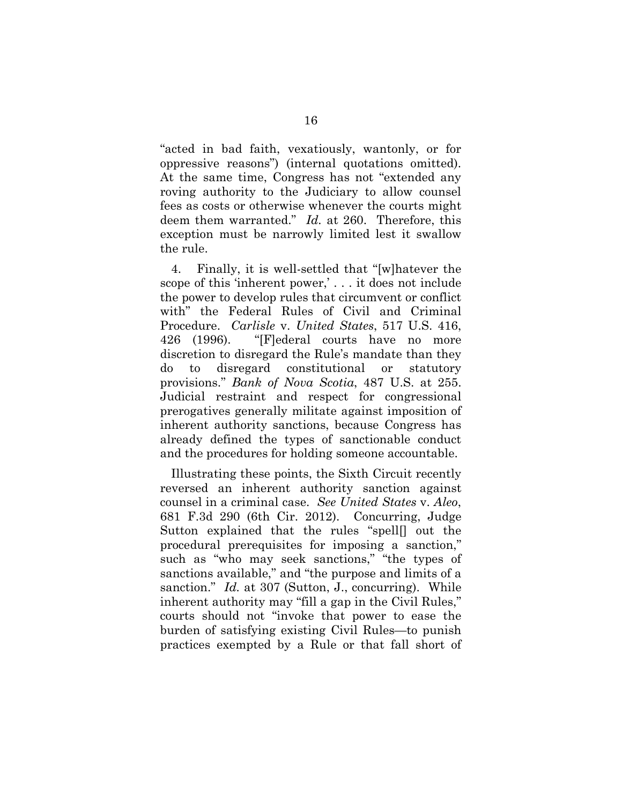"acted in bad faith, vexatiously, wantonly, or for oppressive reasons") (internal quotations omitted). At the same time, Congress has not "extended any roving authority to the Judiciary to allow counsel fees as costs or otherwise whenever the courts might deem them warranted." *Id.* at 260. Therefore, this exception must be narrowly limited lest it swallow the rule.

4. Finally, it is well-settled that "[w]hatever the scope of this 'inherent power,' . . . it does not include the power to develop rules that circumvent or conflict with" the Federal Rules of Civil and Criminal Procedure. *Carlisle* v. *United States*, 517 U.S. 416, 426 (1996). "[F]ederal courts have no more discretion to disregard the Rule's mandate than they do to disregard constitutional or statutory provisions." *Bank of Nova Scotia*, 487 U.S. at 255. Judicial restraint and respect for congressional prerogatives generally militate against imposition of inherent authority sanctions, because Congress has already defined the types of sanctionable conduct and the procedures for holding someone accountable.

Illustrating these points, the Sixth Circuit recently reversed an inherent authority sanction against counsel in a criminal case. *See United States* v. *Aleo*, 681 F.3d 290 (6th Cir. 2012). Concurring, Judge Sutton explained that the rules "spell[] out the procedural prerequisites for imposing a sanction," such as "who may seek sanctions," "the types of sanctions available," and "the purpose and limits of a sanction." *Id.* at 307 (Sutton, J., concurring). While inherent authority may "fill a gap in the Civil Rules," courts should not "invoke that power to ease the burden of satisfying existing Civil Rules—to punish practices exempted by a Rule or that fall short of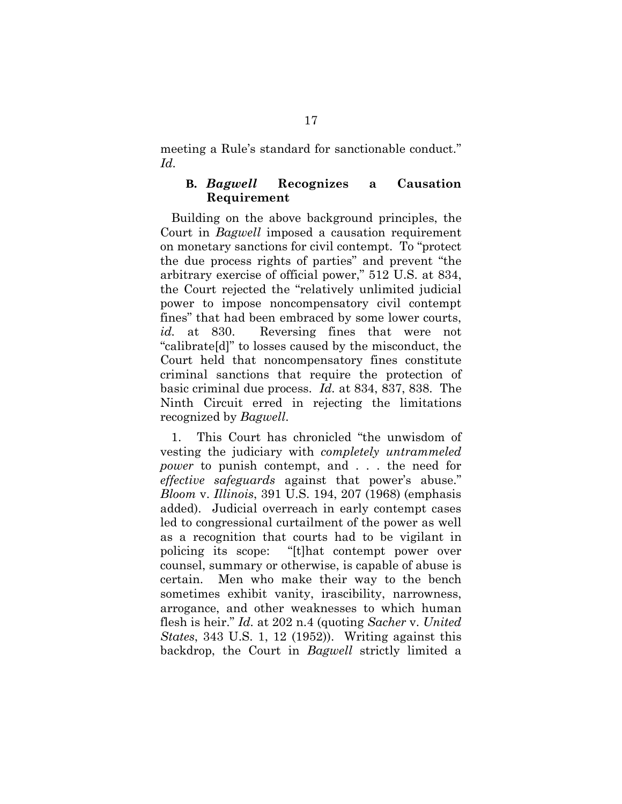meeting a Rule's standard for sanctionable conduct." *Id.*

### **B.** *Bagwell* **Recognizes a Causation Requirement**

Building on the above background principles, the Court in *Bagwell* imposed a causation requirement on monetary sanctions for civil contempt. To "protect the due process rights of parties" and prevent "the arbitrary exercise of official power," 512 U.S. at 834, the Court rejected the "relatively unlimited judicial power to impose noncompensatory civil contempt fines" that had been embraced by some lower courts, *id.* at 830. Reversing fines that were not "calibrate[d]" to losses caused by the misconduct, the Court held that noncompensatory fines constitute criminal sanctions that require the protection of basic criminal due process. *Id.* at 834, 837, 838. The Ninth Circuit erred in rejecting the limitations recognized by *Bagwell*.

1. This Court has chronicled "the unwisdom of vesting the judiciary with *completely untrammeled power* to punish contempt, and . . . the need for *effective safeguards* against that power's abuse." *Bloom* v. *Illinois*, 391 U.S. 194, 207 (1968) (emphasis added). Judicial overreach in early contempt cases led to congressional curtailment of the power as well as a recognition that courts had to be vigilant in policing its scope: "[t]hat contempt power over counsel, summary or otherwise, is capable of abuse is certain. Men who make their way to the bench sometimes exhibit vanity, irascibility, narrowness, arrogance, and other weaknesses to which human flesh is heir." *Id.* at 202 n.4 (quoting *Sacher* v. *United States*, 343 U.S. 1, 12 (1952)). Writing against this backdrop, the Court in *Bagwell* strictly limited a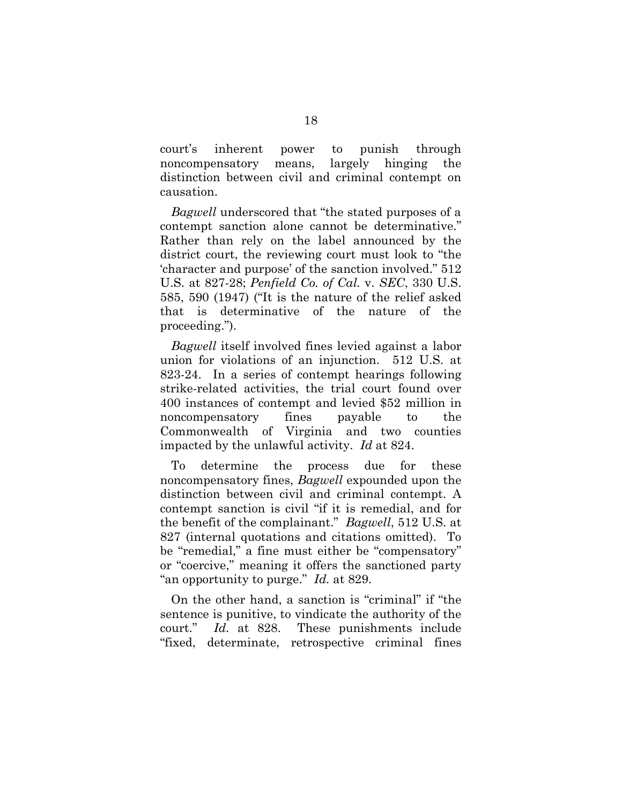court's inherent power to punish through noncompensatory means, largely hinging the distinction between civil and criminal contempt on causation.

*Bagwell* underscored that "the stated purposes of a contempt sanction alone cannot be determinative." Rather than rely on the label announced by the district court, the reviewing court must look to "the 'character and purpose' of the sanction involved." 512 U.S. at 827-28; *Penfield Co. of Cal.* v. *SEC*, 330 U.S. 585, 590 (1947) ("It is the nature of the relief asked that is determinative of the nature of the proceeding.").

*Bagwell* itself involved fines levied against a labor union for violations of an injunction. 512 U.S. at 823-24. In a series of contempt hearings following strike-related activities, the trial court found over 400 instances of contempt and levied \$52 million in noncompensatory fines payable to the Commonwealth of Virginia and two counties impacted by the unlawful activity. *Id* at 824.

To determine the process due for these noncompensatory fines, *Bagwell* expounded upon the distinction between civil and criminal contempt. A contempt sanction is civil "if it is remedial, and for the benefit of the complainant." *Bagwell*, 512 U.S. at 827 (internal quotations and citations omitted). To be "remedial," a fine must either be "compensatory" or "coercive," meaning it offers the sanctioned party "an opportunity to purge." *Id.* at 829.

On the other hand, a sanction is "criminal" if "the sentence is punitive, to vindicate the authority of the court." *Id.* at 828. These punishments include "fixed, determinate, retrospective criminal fines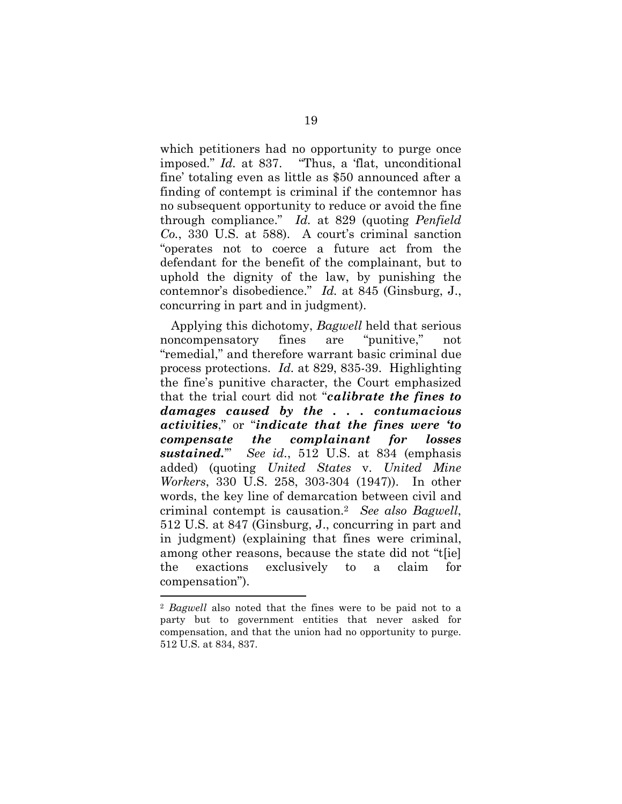which petitioners had no opportunity to purge once imposed." *Id.* at 837. "Thus, a 'flat, unconditional fine' totaling even as little as \$50 announced after a finding of contempt is criminal if the contemnor has no subsequent opportunity to reduce or avoid the fine through compliance." *Id.* at 829 (quoting *Penfield Co.*, 330 U.S. at 588). A court's criminal sanction "operates not to coerce a future act from the defendant for the benefit of the complainant, but to uphold the dignity of the law, by punishing the contemnor's disobedience." *Id.* at 845 (Ginsburg, J., concurring in part and in judgment).

Applying this dichotomy, *Bagwell* held that serious noncompensatory fines are "punitive," not "remedial," and therefore warrant basic criminal due process protections. *Id.* at 829, 835-39. Highlighting the fine's punitive character, the Court emphasized that the trial court did not "*calibrate the fines to damages caused by the . . . contumacious activities*," or "*indicate that the fines were 'to compensate the complainant for losses sustained.*'" *See id.*, 512 U.S. at 834 (emphasis added) (quoting *United States* v. *United Mine Workers*, 330 U.S. 258, 303-304 (1947)). In other words, the key line of demarcation between civil and criminal contempt is causation.<sup>2</sup> *See also Bagwell*, 512 U.S. at 847 (Ginsburg, J., concurring in part and in judgment) (explaining that fines were criminal, among other reasons, because the state did not "t[ie] the exactions exclusively to a claim for compensation").

<sup>2</sup> *Bagwell* also noted that the fines were to be paid not to a party but to government entities that never asked for compensation, and that the union had no opportunity to purge. 512 U.S. at 834, 837.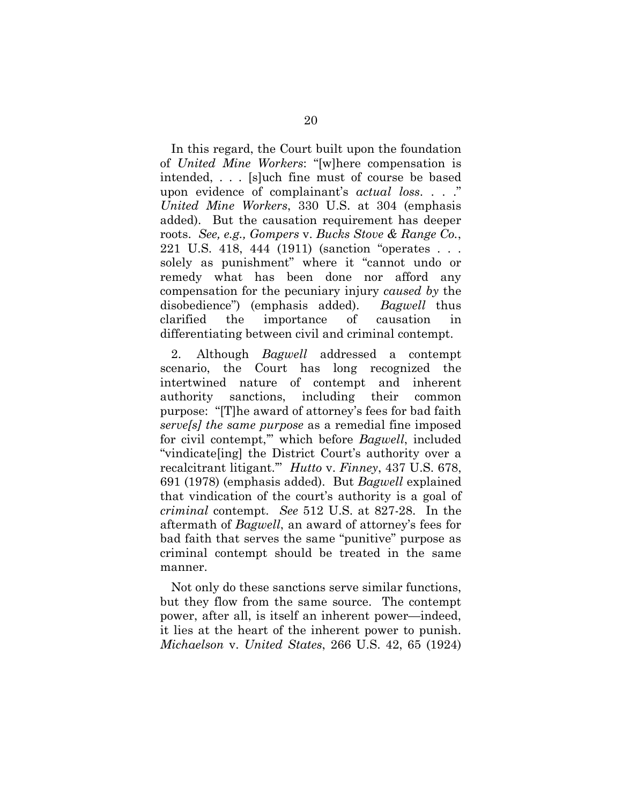In this regard, the Court built upon the foundation of *United Mine Workers*: "[w]here compensation is intended, . . . [s]uch fine must of course be based upon evidence of complainant's *actual loss*. . . ." *United Mine Workers*, 330 U.S. at 304 (emphasis added). But the causation requirement has deeper roots. *See, e.g., Gompers* v. *Bucks Stove & Range Co.*, 221 U.S. 418, 444 (1911) (sanction "operates . . . solely as punishment" where it "cannot undo or remedy what has been done nor afford any compensation for the pecuniary injury *caused by* the disobedience") (emphasis added). *Bagwell* thus clarified the importance of causation in differentiating between civil and criminal contempt.

2. Although *Bagwell* addressed a contempt scenario, the Court has long recognized the intertwined nature of contempt and inherent authority sanctions, including their common purpose: "[T]he award of attorney's fees for bad faith *serve[s] the same purpose* as a remedial fine imposed for civil contempt,'" which before *Bagwell*, included "vindicate[ing] the District Court's authority over a recalcitrant litigant.'" *Hutto* v. *Finney*, 437 U.S. 678, 691 (1978) (emphasis added). But *Bagwell* explained that vindication of the court's authority is a goal of *criminal* contempt. *See* 512 U.S. at 827-28. In the aftermath of *Bagwell*, an award of attorney's fees for bad faith that serves the same "punitive" purpose as criminal contempt should be treated in the same manner.

Not only do these sanctions serve similar functions, but they flow from the same source. The contempt power, after all, is itself an inherent power—indeed, it lies at the heart of the inherent power to punish. *Michaelson* v. *United States*, 266 U.S. 42, 65 (1924)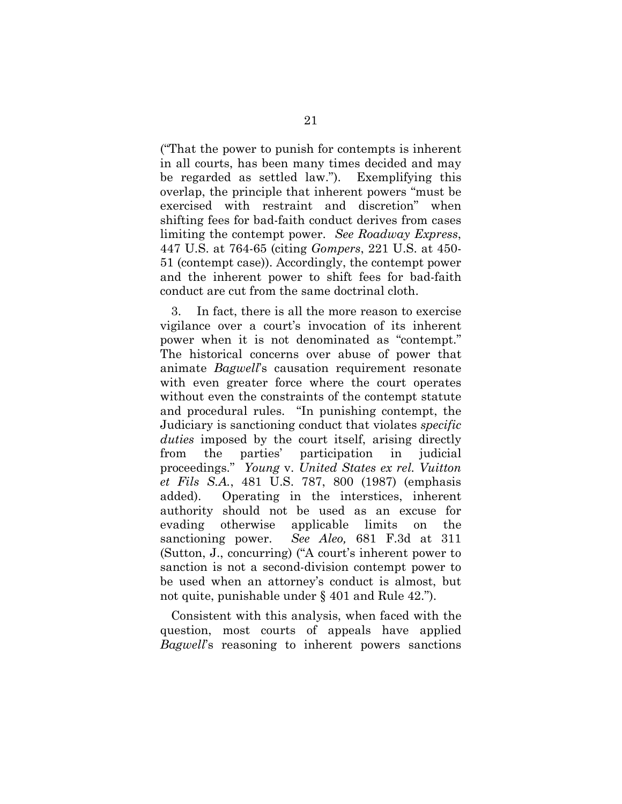("That the power to punish for contempts is inherent in all courts, has been many times decided and may be regarded as settled law."). Exemplifying this overlap, the principle that inherent powers "must be exercised with restraint and discretion" when shifting fees for bad-faith conduct derives from cases limiting the contempt power. *See Roadway Express*, 447 U.S. at 764-65 (citing *Gompers*, 221 U.S. at 450- 51 (contempt case)). Accordingly, the contempt power and the inherent power to shift fees for bad-faith conduct are cut from the same doctrinal cloth.

3. In fact, there is all the more reason to exercise vigilance over a court's invocation of its inherent power when it is not denominated as "contempt." The historical concerns over abuse of power that animate *Bagwell*'s causation requirement resonate with even greater force where the court operates without even the constraints of the contempt statute and procedural rules. "In punishing contempt, the Judiciary is sanctioning conduct that violates *specific duties* imposed by the court itself, arising directly from the parties' participation in judicial proceedings." *Young* v. *United States ex rel. Vuitton et Fils S.A.*, 481 U.S. 787, 800 (1987) (emphasis added). Operating in the interstices, inherent authority should not be used as an excuse for evading otherwise applicable limits on the sanctioning power. *See Aleo,* 681 F.3d at 311 (Sutton, J., concurring) ("A court's inherent power to sanction is not a second-division contempt power to be used when an attorney's conduct is almost, but not quite, punishable under § 401 and Rule 42.").

Consistent with this analysis, when faced with the question, most courts of appeals have applied *Bagwell*'s reasoning to inherent powers sanctions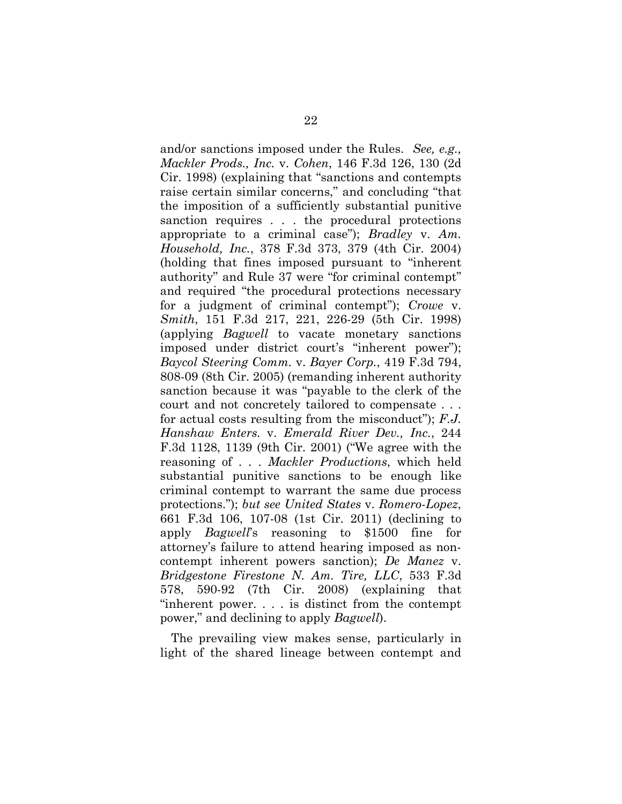and/or sanctions imposed under the Rules. *See, e.g., Mackler Prods., Inc.* v. *Cohen*, 146 F.3d 126, 130 (2d Cir. 1998) (explaining that "sanctions and contempts raise certain similar concerns," and concluding "that the imposition of a sufficiently substantial punitive sanction requires . . . the procedural protections appropriate to a criminal case"); *Bradley* v. *Am. Household, Inc.*, 378 F.3d 373, 379 (4th Cir. 2004) (holding that fines imposed pursuant to "inherent authority" and Rule 37 were "for criminal contempt" and required "the procedural protections necessary for a judgment of criminal contempt"); *Crowe* v. *Smith*, 151 F.3d 217, 221, 226-29 (5th Cir. 1998) (applying *Bagwell* to vacate monetary sanctions imposed under district court's "inherent power"); *Baycol Steering Comm.* v. *Bayer Corp.*, 419 F.3d 794, 808-09 (8th Cir. 2005) (remanding inherent authority sanction because it was "payable to the clerk of the court and not concretely tailored to compensate . . . for actual costs resulting from the misconduct"); *F.J. Hanshaw Enters.* v. *Emerald River Dev., Inc.*, 244 F.3d 1128, 1139 (9th Cir. 2001) ("We agree with the reasoning of . . . *Mackler Productions*, which held substantial punitive sanctions to be enough like criminal contempt to warrant the same due process protections."); *but see United States* v. *Romero-Lopez*, 661 F.3d 106, 107-08 (1st Cir. 2011) (declining to apply *Bagwell*'s reasoning to \$1500 fine for attorney's failure to attend hearing imposed as noncontempt inherent powers sanction); *De Manez* v. *Bridgestone Firestone N. Am. Tire, LLC*, 533 F.3d 578, 590-92 (7th Cir. 2008) (explaining that "inherent power. . . . is distinct from the contempt power," and declining to apply *Bagwell*).

The prevailing view makes sense, particularly in light of the shared lineage between contempt and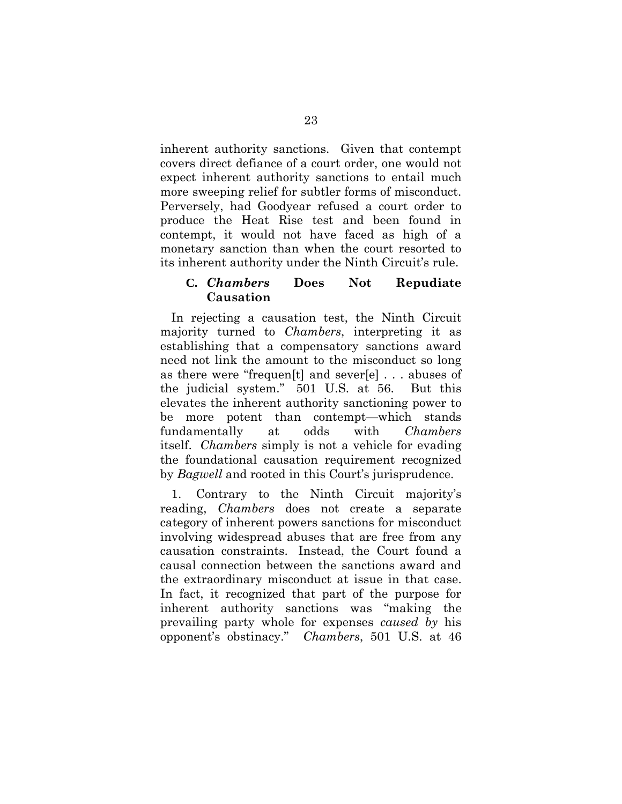inherent authority sanctions. Given that contempt covers direct defiance of a court order, one would not expect inherent authority sanctions to entail much more sweeping relief for subtler forms of misconduct. Perversely, had Goodyear refused a court order to produce the Heat Rise test and been found in contempt, it would not have faced as high of a monetary sanction than when the court resorted to its inherent authority under the Ninth Circuit's rule.

### **C.** *Chambers* **Does Not Repudiate Causation**

In rejecting a causation test, the Ninth Circuit majority turned to *Chambers*, interpreting it as establishing that a compensatory sanctions award need not link the amount to the misconduct so long as there were "frequen[t] and sever[e] . . . abuses of the judicial system." 501 U.S. at 56. But this elevates the inherent authority sanctioning power to be more potent than contempt—which stands fundamentally at odds with *Chambers* itself. *Chambers* simply is not a vehicle for evading the foundational causation requirement recognized by *Bagwell* and rooted in this Court's jurisprudence.

1. Contrary to the Ninth Circuit majority's reading, *Chambers* does not create a separate category of inherent powers sanctions for misconduct involving widespread abuses that are free from any causation constraints. Instead, the Court found a causal connection between the sanctions award and the extraordinary misconduct at issue in that case. In fact, it recognized that part of the purpose for inherent authority sanctions was "making the prevailing party whole for expenses *caused by* his opponent's obstinacy." *Chambers*, 501 U.S. at 46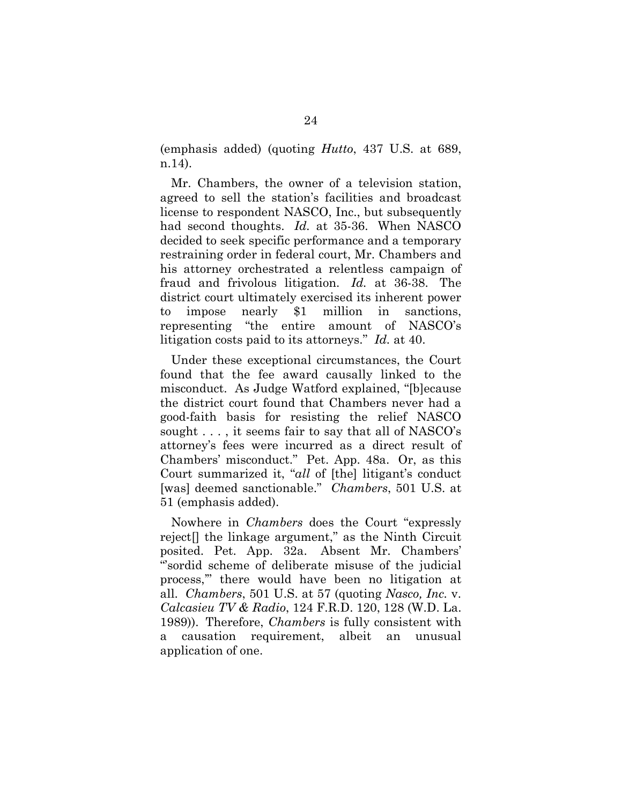(emphasis added) (quoting *Hutto*, 437 U.S. at 689, n.14).

Mr. Chambers, the owner of a television station, agreed to sell the station's facilities and broadcast license to respondent NASCO, Inc., but subsequently had second thoughts. *Id.* at 35-36. When NASCO decided to seek specific performance and a temporary restraining order in federal court, Mr. Chambers and his attorney orchestrated a relentless campaign of fraud and frivolous litigation. *Id.* at 36-38. The district court ultimately exercised its inherent power to impose nearly \$1 million in sanctions, representing "the entire amount of NASCO's litigation costs paid to its attorneys." *Id.* at 40.

Under these exceptional circumstances, the Court found that the fee award causally linked to the misconduct. As Judge Watford explained, "[b]ecause the district court found that Chambers never had a good-faith basis for resisting the relief NASCO sought . . . , it seems fair to say that all of NASCO's attorney's fees were incurred as a direct result of Chambers' misconduct." Pet. App. 48a. Or, as this Court summarized it, "*all* of [the] litigant's conduct [was] deemed sanctionable." *Chambers*, 501 U.S. at 51 (emphasis added).

Nowhere in *Chambers* does the Court "expressly reject[] the linkage argument," as the Ninth Circuit posited. Pet. App. 32a. Absent Mr. Chambers' "'sordid scheme of deliberate misuse of the judicial process,'" there would have been no litigation at all. *Chambers*, 501 U.S. at 57 (quoting *Nasco, Inc.* v. *Calcasieu TV & Radio*, 124 F.R.D. 120, 128 (W.D. La. 1989)). Therefore, *Chambers* is fully consistent with a causation requirement, albeit an unusual application of one.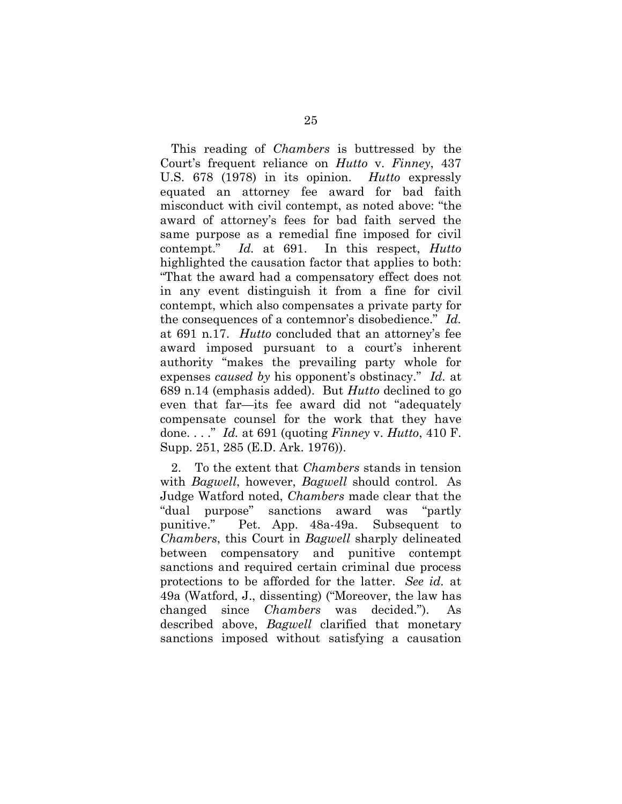This reading of *Chambers* is buttressed by the Court's frequent reliance on *Hutto* v. *Finney*, 437 U.S. 678 (1978) in its opinion. *Hutto* expressly equated an attorney fee award for bad faith misconduct with civil contempt, as noted above: "the award of attorney's fees for bad faith served the same purpose as a remedial fine imposed for civil contempt." *Id.* at 691. In this respect, *Hutto* highlighted the causation factor that applies to both: "That the award had a compensatory effect does not in any event distinguish it from a fine for civil contempt, which also compensates a private party for the consequences of a contemnor's disobedience." *Id.* at 691 n.17. *Hutto* concluded that an attorney's fee award imposed pursuant to a court's inherent authority "makes the prevailing party whole for expenses *caused by* his opponent's obstinacy." *Id.* at 689 n.14 (emphasis added). But *Hutto* declined to go even that far—its fee award did not "adequately compensate counsel for the work that they have done. . . ." *Id.* at 691 (quoting *Finney* v. *Hutto*, 410 F. Supp. 251, 285 (E.D. Ark. 1976)).

2. To the extent that *Chambers* stands in tension with *Bagwell*, however, *Bagwell* should control. As Judge Watford noted, *Chambers* made clear that the "dual purpose" sanctions award was "partly punitive." Pet. App. 48a-49a. Subsequent to *Chambers*, this Court in *Bagwell* sharply delineated between compensatory and punitive contempt sanctions and required certain criminal due process protections to be afforded for the latter. *See id.* at 49a (Watford, J., dissenting) ("Moreover, the law has changed since *Chambers* was decided."). As described above, *Bagwell* clarified that monetary sanctions imposed without satisfying a causation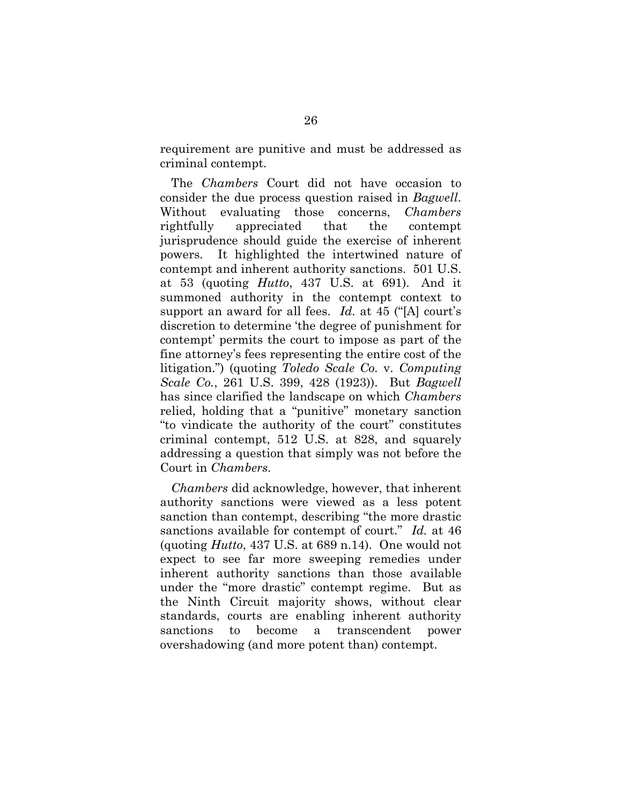requirement are punitive and must be addressed as criminal contempt.

The *Chambers* Court did not have occasion to consider the due process question raised in *Bagwell*. Without evaluating those concerns, *Chambers* rightfully appreciated that the contempt jurisprudence should guide the exercise of inherent powers. It highlighted the intertwined nature of contempt and inherent authority sanctions. 501 U.S. at 53 (quoting *Hutto*, 437 U.S. at 691). And it summoned authority in the contempt context to support an award for all fees. *Id.* at 45 ("[A] court's discretion to determine 'the degree of punishment for contempt' permits the court to impose as part of the fine attorney's fees representing the entire cost of the litigation.") (quoting *Toledo Scale Co.* v. *Computing Scale Co.*, 261 U.S. 399, 428 (1923)). But *Bagwell* has since clarified the landscape on which *Chambers* relied, holding that a "punitive" monetary sanction "to vindicate the authority of the court" constitutes criminal contempt, 512 U.S. at 828, and squarely addressing a question that simply was not before the Court in *Chambers*.

*Chambers* did acknowledge, however, that inherent authority sanctions were viewed as a less potent sanction than contempt, describing "the more drastic sanctions available for contempt of court." *Id.* at 46 (quoting *Hutto*, 437 U.S. at 689 n.14). One would not expect to see far more sweeping remedies under inherent authority sanctions than those available under the "more drastic" contempt regime. But as the Ninth Circuit majority shows, without clear standards, courts are enabling inherent authority sanctions to become a transcendent power overshadowing (and more potent than) contempt.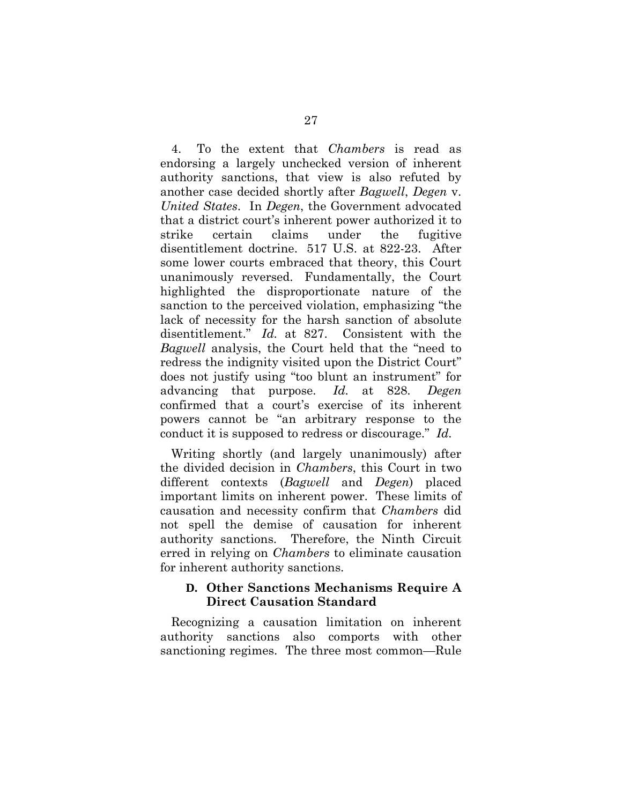4. To the extent that *Chambers* is read as endorsing a largely unchecked version of inherent authority sanctions, that view is also refuted by another case decided shortly after *Bagwell*, *Degen* v. *United States*. In *Degen*, the Government advocated that a district court's inherent power authorized it to strike certain claims under the fugitive disentitlement doctrine. 517 U.S. at 822-23. After some lower courts embraced that theory, this Court unanimously reversed. Fundamentally, the Court highlighted the disproportionate nature of the sanction to the perceived violation, emphasizing "the lack of necessity for the harsh sanction of absolute disentitlement." *Id.* at 827. Consistent with the *Bagwell* analysis, the Court held that the "need to redress the indignity visited upon the District Court" does not justify using "too blunt an instrument" for advancing that purpose. *Id.* at 828. *Degen* confirmed that a court's exercise of its inherent powers cannot be "an arbitrary response to the conduct it is supposed to redress or discourage." *Id.*

Writing shortly (and largely unanimously) after the divided decision in *Chambers*, this Court in two different contexts (*Bagwell* and *Degen*) placed important limits on inherent power. These limits of causation and necessity confirm that *Chambers* did not spell the demise of causation for inherent authority sanctions. Therefore, the Ninth Circuit erred in relying on *Chambers* to eliminate causation for inherent authority sanctions.

# **D. Other Sanctions Mechanisms Require A Direct Causation Standard**

Recognizing a causation limitation on inherent authority sanctions also comports with other sanctioning regimes. The three most common—Rule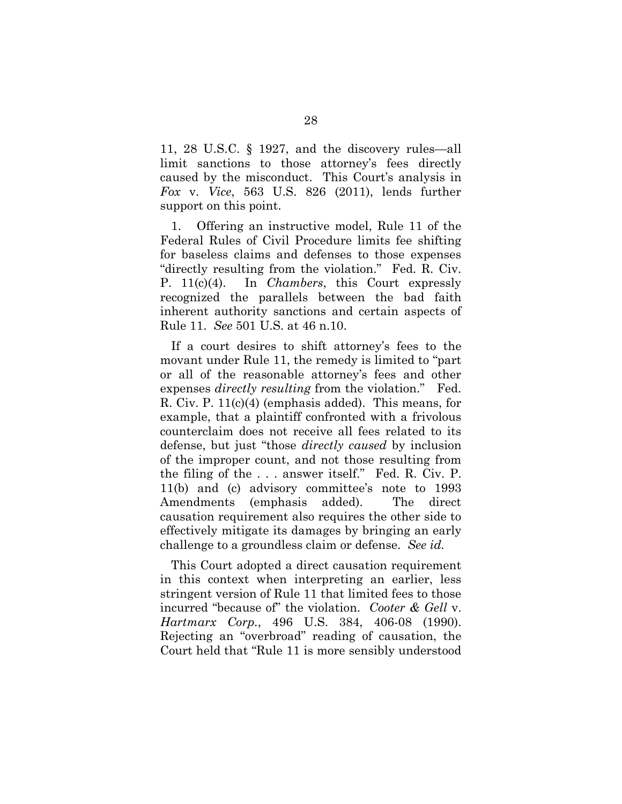11, 28 U.S.C. § 1927, and the discovery rules—all limit sanctions to those attorney's fees directly caused by the misconduct. This Court's analysis in *Fox* v. *Vice*, 563 U.S. 826 (2011), lends further support on this point.

1. Offering an instructive model, Rule 11 of the Federal Rules of Civil Procedure limits fee shifting for baseless claims and defenses to those expenses "directly resulting from the violation." Fed. R. Civ. P. 11(c)(4). In *Chambers*, this Court expressly recognized the parallels between the bad faith inherent authority sanctions and certain aspects of Rule 11. *See* 501 U.S. at 46 n.10.

If a court desires to shift attorney's fees to the movant under Rule 11, the remedy is limited to "part or all of the reasonable attorney's fees and other expenses *directly resulting* from the violation." Fed. R. Civ. P. 11(c)(4) (emphasis added). This means, for example, that a plaintiff confronted with a frivolous counterclaim does not receive all fees related to its defense, but just "those *directly caused* by inclusion of the improper count, and not those resulting from the filing of the . . . answer itself." Fed. R. Civ. P. 11(b) and (c) advisory committee's note to 1993 Amendments (emphasis added). The direct causation requirement also requires the other side to effectively mitigate its damages by bringing an early challenge to a groundless claim or defense. *See id.*

This Court adopted a direct causation requirement in this context when interpreting an earlier, less stringent version of Rule 11 that limited fees to those incurred "because of" the violation. *Cooter & Gell* v. *Hartmarx Corp.*, 496 U.S. 384, 406-08 (1990). Rejecting an "overbroad" reading of causation, the Court held that "Rule 11 is more sensibly understood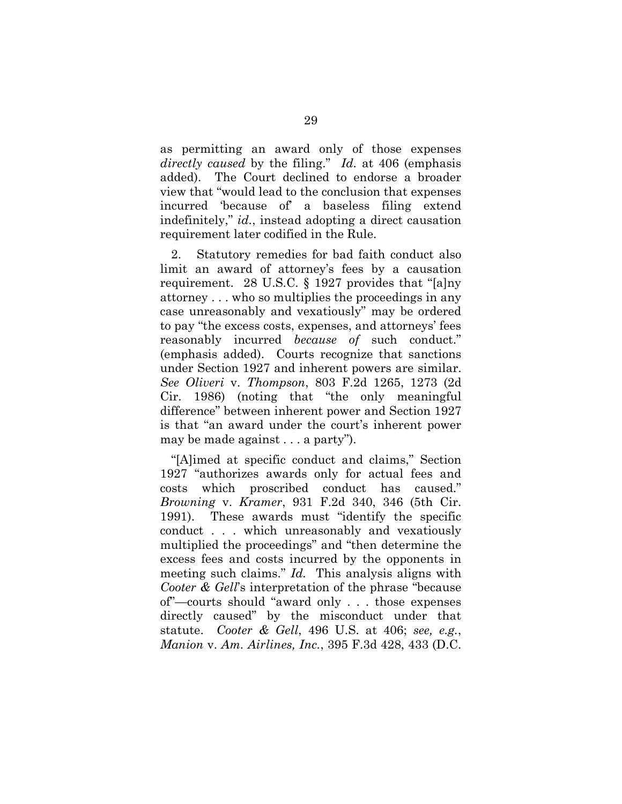as permitting an award only of those expenses *directly caused* by the filing." *Id.* at 406 (emphasis added). The Court declined to endorse a broader view that "would lead to the conclusion that expenses incurred 'because of' a baseless filing extend indefinitely," *id.*, instead adopting a direct causation requirement later codified in the Rule.

2. Statutory remedies for bad faith conduct also limit an award of attorney's fees by a causation requirement. 28 U.S.C. § 1927 provides that "[a]ny attorney . . . who so multiplies the proceedings in any case unreasonably and vexatiously" may be ordered to pay "the excess costs, expenses, and attorneys' fees reasonably incurred *because of* such conduct." (emphasis added). Courts recognize that sanctions under Section 1927 and inherent powers are similar. *See Oliveri* v. *Thompson*, 803 F.2d 1265, 1273 (2d Cir. 1986) (noting that "the only meaningful difference" between inherent power and Section 1927 is that "an award under the court's inherent power may be made against . . . a party").

"[A]imed at specific conduct and claims," Section 1927 "authorizes awards only for actual fees and costs which proscribed conduct has caused." *Browning* v. *Kramer*, 931 F.2d 340, 346 (5th Cir. 1991). These awards must "identify the specific conduct . . . which unreasonably and vexatiously multiplied the proceedings" and "then determine the excess fees and costs incurred by the opponents in meeting such claims." *Id.* This analysis aligns with *Cooter & Gell*'s interpretation of the phrase "because of"—courts should "award only . . . those expenses directly caused" by the misconduct under that statute. *Cooter & Gell*, 496 U.S. at 406; *see, e.g.*, *Manion* v. *Am. Airlines, Inc.*, 395 F.3d 428, 433 (D.C.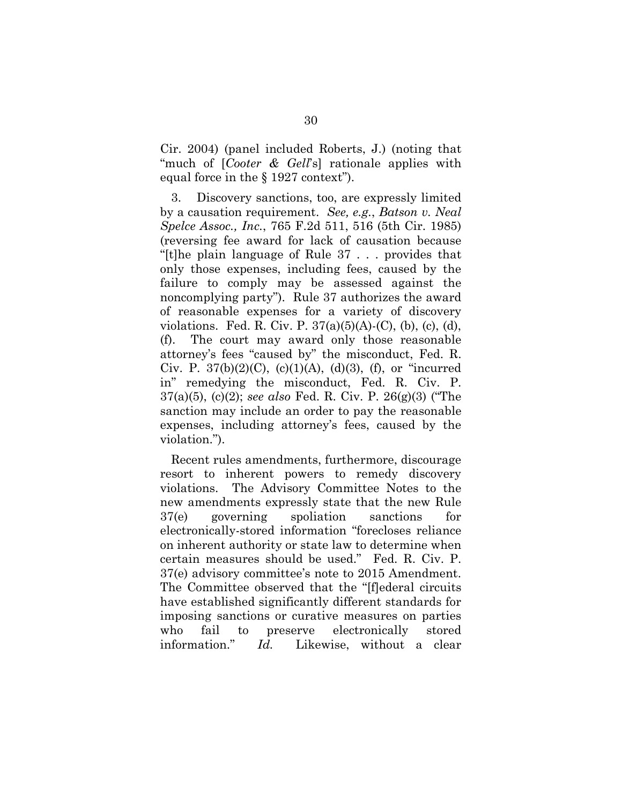Cir. 2004) (panel included Roberts, J.) (noting that "much of [*Cooter & Gell*'s] rationale applies with equal force in the § 1927 context").

3. Discovery sanctions, too, are expressly limited by a causation requirement. *See, e.g.*, *Batson v. Neal Spelce Assoc., Inc.*, 765 F.2d 511, 516 (5th Cir. 1985) (reversing fee award for lack of causation because "[t]he plain language of Rule 37 . . . provides that only those expenses, including fees, caused by the failure to comply may be assessed against the noncomplying party"). Rule 37 authorizes the award of reasonable expenses for a variety of discovery violations. Fed. R. Civ. P.  $37(a)(5)(A)-(C)$ , (b), (c), (d), (f). The court may award only those reasonable attorney's fees "caused by" the misconduct, Fed. R. Civ. P.  $37(b)(2)(C)$ ,  $(c)(1)(A)$ ,  $(d)(3)$ ,  $(f)$ , or "incurred in" remedying the misconduct, Fed. R. Civ. P. 37(a)(5), (c)(2); *see also* Fed. R. Civ. P. 26(g)(3) ("The sanction may include an order to pay the reasonable expenses, including attorney's fees, caused by the violation.").

Recent rules amendments, furthermore, discourage resort to inherent powers to remedy discovery violations. The Advisory Committee Notes to the new amendments expressly state that the new Rule 37(e) governing spoliation sanctions for electronically-stored information "forecloses reliance on inherent authority or state law to determine when certain measures should be used." Fed. R. Civ. P. 37(e) advisory committee's note to 2015 Amendment. The Committee observed that the "[f]ederal circuits have established significantly different standards for imposing sanctions or curative measures on parties who fail to preserve electronically stored information." *Id.* Likewise, without a clear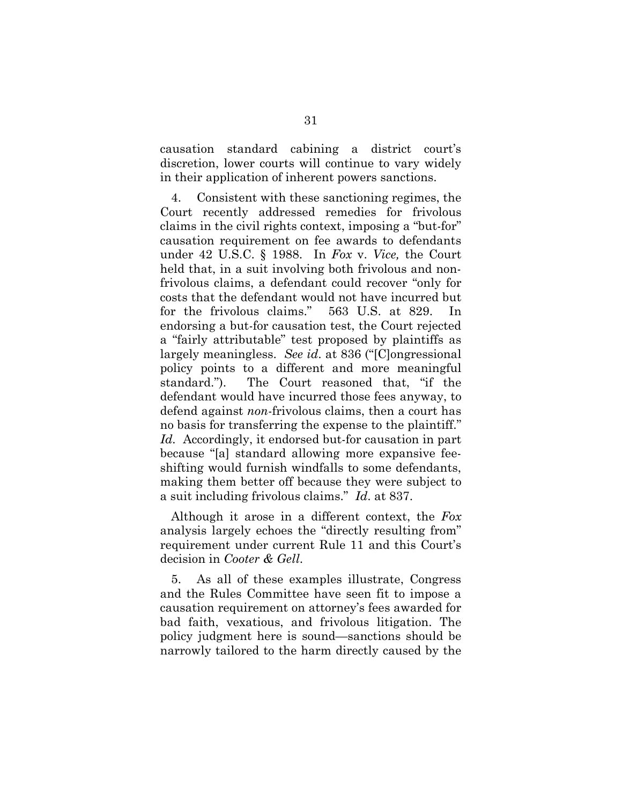causation standard cabining a district court's discretion, lower courts will continue to vary widely in their application of inherent powers sanctions.

4. Consistent with these sanctioning regimes, the Court recently addressed remedies for frivolous claims in the civil rights context, imposing a "but-for" causation requirement on fee awards to defendants under 42 U.S.C. § 1988. In *Fox* v. *Vice,* the Court held that, in a suit involving both frivolous and nonfrivolous claims, a defendant could recover "only for costs that the defendant would not have incurred but for the frivolous claims." 563 U.S. at 829. In endorsing a but-for causation test, the Court rejected a "fairly attributable" test proposed by plaintiffs as largely meaningless. *See id*. at 836 ("[C]ongressional policy points to a different and more meaningful standard."). The Court reasoned that, "if the defendant would have incurred those fees anyway, to defend against *non*-frivolous claims, then a court has no basis for transferring the expense to the plaintiff." *Id.* Accordingly, it endorsed but-for causation in part because "[a] standard allowing more expansive feeshifting would furnish windfalls to some defendants, making them better off because they were subject to a suit including frivolous claims." *Id*. at 837.

Although it arose in a different context, the *Fox* analysis largely echoes the "directly resulting from" requirement under current Rule 11 and this Court's decision in *Cooter & Gell*.

5. As all of these examples illustrate, Congress and the Rules Committee have seen fit to impose a causation requirement on attorney's fees awarded for bad faith, vexatious, and frivolous litigation. The policy judgment here is sound—sanctions should be narrowly tailored to the harm directly caused by the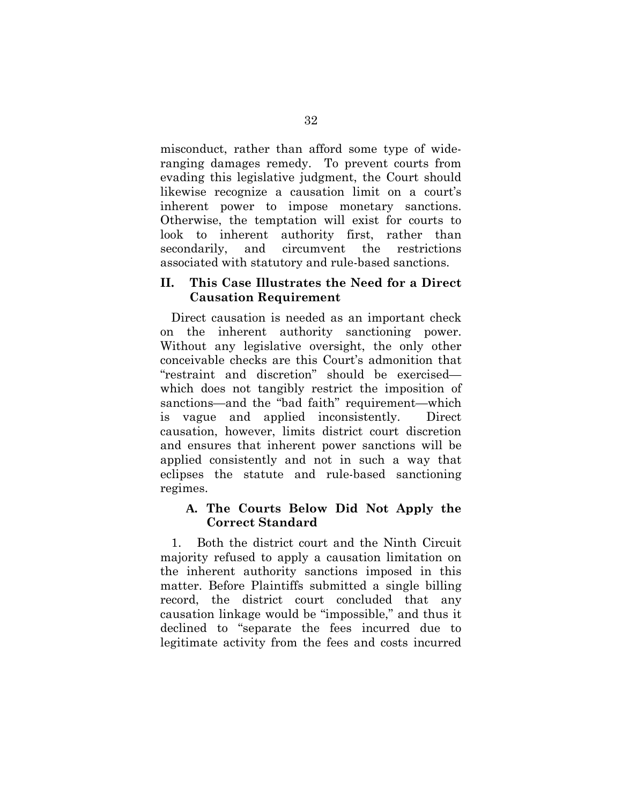misconduct, rather than afford some type of wideranging damages remedy. To prevent courts from evading this legislative judgment, the Court should likewise recognize a causation limit on a court's inherent power to impose monetary sanctions. Otherwise, the temptation will exist for courts to look to inherent authority first, rather than secondarily, and circumvent the restrictions associated with statutory and rule-based sanctions.

### **II. This Case Illustrates the Need for a Direct Causation Requirement**

Direct causation is needed as an important check on the inherent authority sanctioning power. Without any legislative oversight, the only other conceivable checks are this Court's admonition that "restraint and discretion" should be exercised which does not tangibly restrict the imposition of sanctions—and the "bad faith" requirement—which is vague and applied inconsistently. Direct causation, however, limits district court discretion and ensures that inherent power sanctions will be applied consistently and not in such a way that eclipses the statute and rule-based sanctioning regimes.

# **A. The Courts Below Did Not Apply the Correct Standard**

1. Both the district court and the Ninth Circuit majority refused to apply a causation limitation on the inherent authority sanctions imposed in this matter. Before Plaintiffs submitted a single billing record, the district court concluded that any causation linkage would be "impossible," and thus it declined to "separate the fees incurred due to legitimate activity from the fees and costs incurred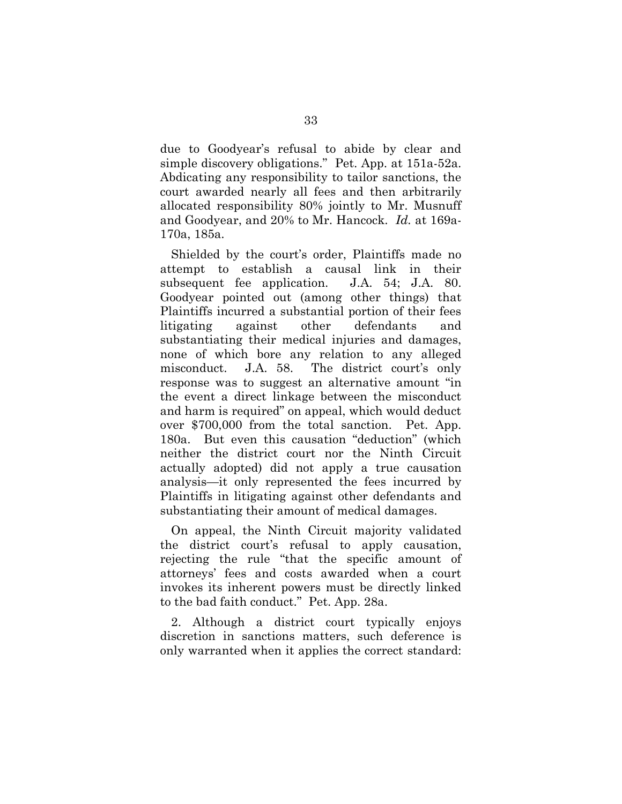due to Goodyear's refusal to abide by clear and simple discovery obligations." Pet. App. at 151a-52a. Abdicating any responsibility to tailor sanctions, the court awarded nearly all fees and then arbitrarily allocated responsibility 80% jointly to Mr. Musnuff and Goodyear, and 20% to Mr. Hancock. *Id.* at 169a-170a, 185a.

Shielded by the court's order, Plaintiffs made no attempt to establish a causal link in their subsequent fee application. J.A. 54; J.A. 80. Goodyear pointed out (among other things) that Plaintiffs incurred a substantial portion of their fees litigating against other defendants and substantiating their medical injuries and damages, none of which bore any relation to any alleged misconduct. J.A. 58. The district court's only response was to suggest an alternative amount "in the event a direct linkage between the misconduct and harm is required" on appeal, which would deduct over \$700,000 from the total sanction. Pet. App. 180a. But even this causation "deduction" (which neither the district court nor the Ninth Circuit actually adopted) did not apply a true causation analysis—it only represented the fees incurred by Plaintiffs in litigating against other defendants and substantiating their amount of medical damages.

On appeal, the Ninth Circuit majority validated the district court's refusal to apply causation, rejecting the rule "that the specific amount of attorneys' fees and costs awarded when a court invokes its inherent powers must be directly linked to the bad faith conduct." Pet. App. 28a.

2. Although a district court typically enjoys discretion in sanctions matters, such deference is only warranted when it applies the correct standard: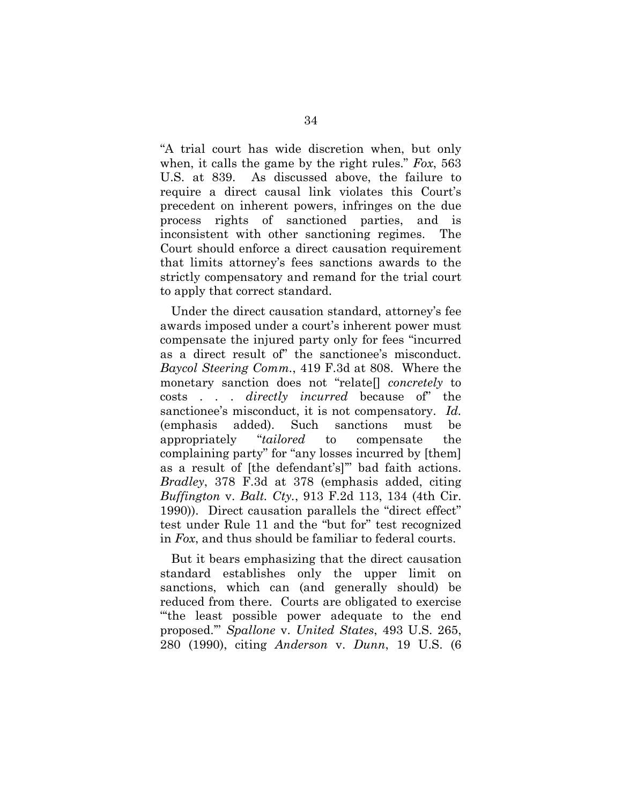"A trial court has wide discretion when, but only when, it calls the game by the right rules." *Fox*, 563 U.S. at 839. As discussed above, the failure to require a direct causal link violates this Court's precedent on inherent powers, infringes on the due process rights of sanctioned parties, and is inconsistent with other sanctioning regimes. The Court should enforce a direct causation requirement that limits attorney's fees sanctions awards to the strictly compensatory and remand for the trial court to apply that correct standard.

Under the direct causation standard, attorney's fee awards imposed under a court's inherent power must compensate the injured party only for fees "incurred as a direct result of" the sanctionee's misconduct. *Baycol Steering Comm.*, 419 F.3d at 808. Where the monetary sanction does not "relate[] *concretely* to costs . . . *directly incurred* because of" the sanctionee's misconduct, it is not compensatory. *Id.* (emphasis added). Such sanctions must be appropriately "*tailored* to compensate the complaining party" for "any losses incurred by [them] as a result of [the defendant's]'" bad faith actions. *Bradley*, 378 F.3d at 378 (emphasis added, citing *Buffington* v. *Balt. Cty.*, 913 F.2d 113, 134 (4th Cir. 1990)). Direct causation parallels the "direct effect" test under Rule 11 and the "but for" test recognized in *Fox*, and thus should be familiar to federal courts.

But it bears emphasizing that the direct causation standard establishes only the upper limit on sanctions, which can (and generally should) be reduced from there. Courts are obligated to exercise "'the least possible power adequate to the end proposed.'" *Spallone* v. *United States*, 493 U.S. 265, 280 (1990), citing *Anderson* v. *Dunn*, 19 U.S. (6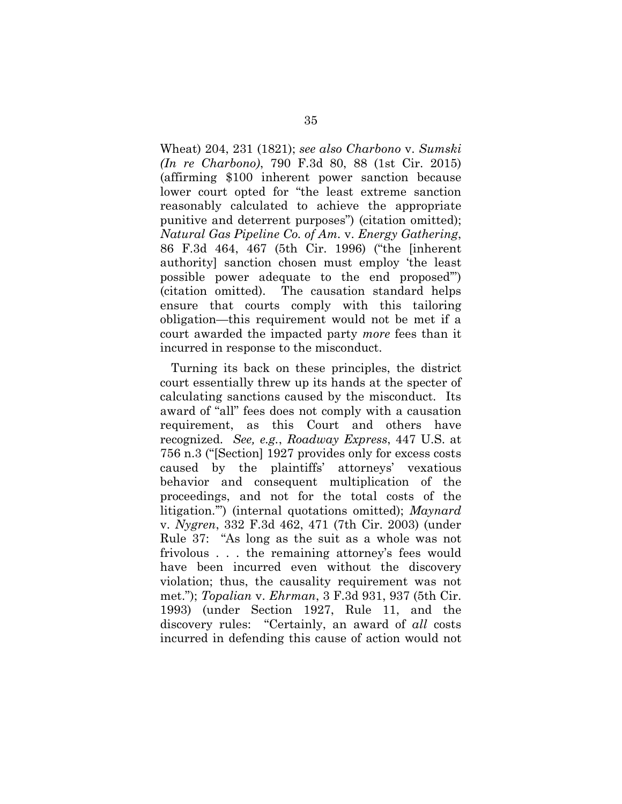Wheat) 204, 231 (1821); *see also Charbono* v. *Sumski (In re Charbono)*, 790 F.3d 80, 88 (1st Cir. 2015) (affirming \$100 inherent power sanction because lower court opted for "the least extreme sanction reasonably calculated to achieve the appropriate punitive and deterrent purposes") (citation omitted); *Natural Gas Pipeline Co. of Am.* v. *Energy Gathering*, 86 F.3d 464, 467 (5th Cir. 1996) ("the [inherent authority] sanction chosen must employ 'the least possible power adequate to the end proposed'") (citation omitted). The causation standard helps ensure that courts comply with this tailoring obligation—this requirement would not be met if a court awarded the impacted party *more* fees than it incurred in response to the misconduct.

Turning its back on these principles, the district court essentially threw up its hands at the specter of calculating sanctions caused by the misconduct. Its award of "all" fees does not comply with a causation requirement, as this Court and others have recognized. *See, e.g.*, *Roadway Express*, 447 U.S. at 756 n.3 ("[Section] 1927 provides only for excess costs caused by the plaintiffs' attorneys' vexatious behavior and consequent multiplication of the proceedings, and not for the total costs of the litigation.'") (internal quotations omitted); *Maynard* v. *Nygren*, 332 F.3d 462, 471 (7th Cir. 2003) (under Rule 37: "As long as the suit as a whole was not frivolous . . . the remaining attorney's fees would have been incurred even without the discovery violation; thus, the causality requirement was not met."); *Topalian* v. *Ehrman*, 3 F.3d 931, 937 (5th Cir. 1993) (under Section 1927, Rule 11, and the discovery rules: "Certainly, an award of *all* costs incurred in defending this cause of action would not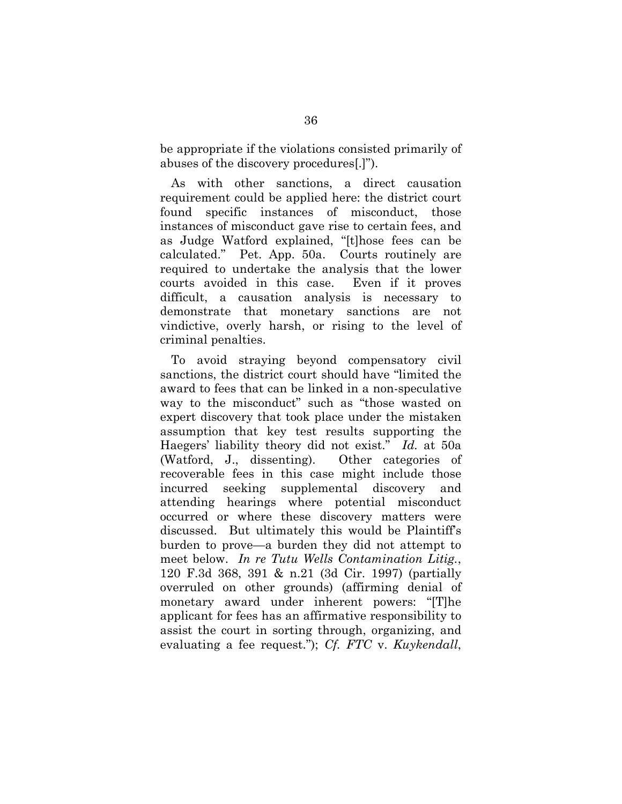be appropriate if the violations consisted primarily of abuses of the discovery procedures[.]").

As with other sanctions, a direct causation requirement could be applied here: the district court found specific instances of misconduct, those instances of misconduct gave rise to certain fees, and as Judge Watford explained, "[t]hose fees can be calculated." Pet. App. 50a. Courts routinely are required to undertake the analysis that the lower courts avoided in this case. Even if it proves difficult, a causation analysis is necessary to demonstrate that monetary sanctions are not vindictive, overly harsh, or rising to the level of criminal penalties.

To avoid straying beyond compensatory civil sanctions, the district court should have "limited the award to fees that can be linked in a non-speculative way to the misconduct" such as "those wasted on expert discovery that took place under the mistaken assumption that key test results supporting the Haegers' liability theory did not exist." *Id.* at 50a (Watford, J., dissenting). Other categories of recoverable fees in this case might include those incurred seeking supplemental discovery and attending hearings where potential misconduct occurred or where these discovery matters were discussed. But ultimately this would be Plaintiff's burden to prove—a burden they did not attempt to meet below. *In re Tutu Wells Contamination Litig.*, 120 F.3d 368, 391 & n.21 (3d Cir. 1997) (partially overruled on other grounds) (affirming denial of monetary award under inherent powers: "[T]he applicant for fees has an affirmative responsibility to assist the court in sorting through, organizing, and evaluating a fee request."); *Cf. FTC* v. *Kuykendall*,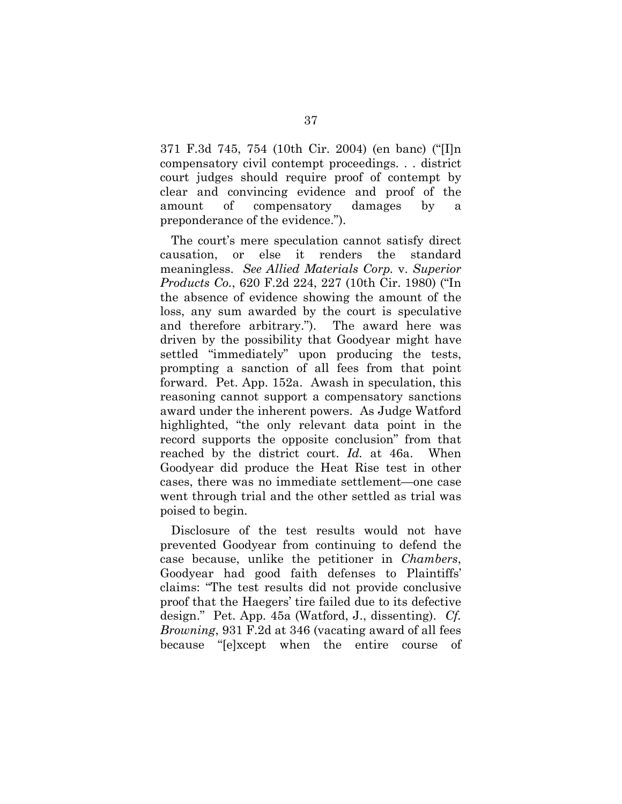371 F.3d 745, 754 (10th Cir. 2004) (en banc) ("[I]n compensatory civil contempt proceedings. . . district court judges should require proof of contempt by clear and convincing evidence and proof of the amount of compensatory damages by a preponderance of the evidence.").

The court's mere speculation cannot satisfy direct causation, or else it renders the standard meaningless. *See Allied Materials Corp.* v. *Superior Products Co.*, 620 F.2d 224, 227 (10th Cir. 1980) ("In the absence of evidence showing the amount of the loss, any sum awarded by the court is speculative and therefore arbitrary."). The award here was driven by the possibility that Goodyear might have settled "immediately" upon producing the tests, prompting a sanction of all fees from that point forward. Pet. App. 152a. Awash in speculation, this reasoning cannot support a compensatory sanctions award under the inherent powers. As Judge Watford highlighted, "the only relevant data point in the record supports the opposite conclusion" from that reached by the district court. *Id.* at 46a. When Goodyear did produce the Heat Rise test in other cases, there was no immediate settlement—one case went through trial and the other settled as trial was poised to begin.

Disclosure of the test results would not have prevented Goodyear from continuing to defend the case because, unlike the petitioner in *Chambers*, Goodyear had good faith defenses to Plaintiffs' claims: "The test results did not provide conclusive proof that the Haegers' tire failed due to its defective design." Pet. App. 45a (Watford, J., dissenting). *Cf. Browning*, 931 F.2d at 346 (vacating award of all fees because "[e]xcept when the entire course of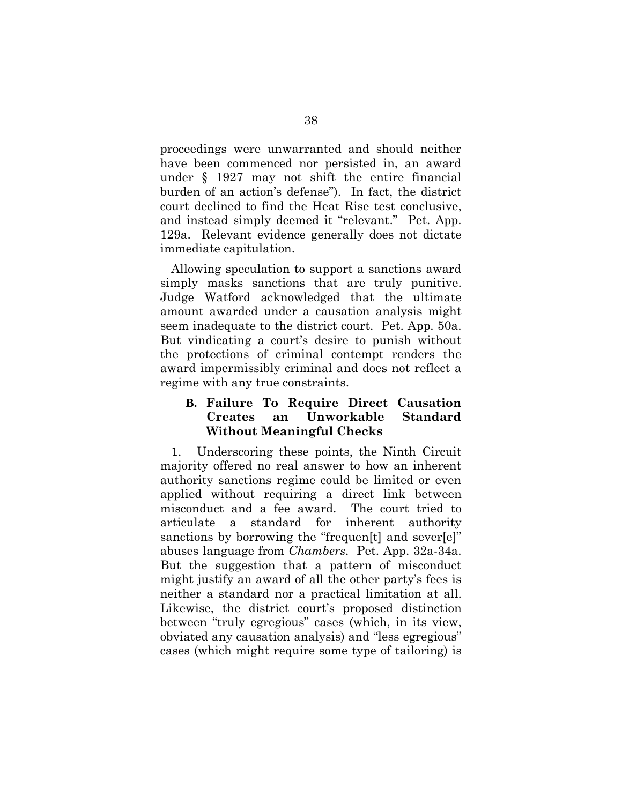proceedings were unwarranted and should neither have been commenced nor persisted in, an award under § 1927 may not shift the entire financial burden of an action's defense"). In fact, the district court declined to find the Heat Rise test conclusive, and instead simply deemed it "relevant." Pet. App. 129a. Relevant evidence generally does not dictate immediate capitulation.

Allowing speculation to support a sanctions award simply masks sanctions that are truly punitive. Judge Watford acknowledged that the ultimate amount awarded under a causation analysis might seem inadequate to the district court. Pet. App. 50a. But vindicating a court's desire to punish without the protections of criminal contempt renders the award impermissibly criminal and does not reflect a regime with any true constraints.

# **B. Failure To Require Direct Causation Creates an Unworkable Standard Without Meaningful Checks**

1. Underscoring these points, the Ninth Circuit majority offered no real answer to how an inherent authority sanctions regime could be limited or even applied without requiring a direct link between misconduct and a fee award. The court tried to articulate a standard for inherent authority sanctions by borrowing the "frequen[t] and sever[e]" abuses language from *Chambers*. Pet. App. 32a-34a. But the suggestion that a pattern of misconduct might justify an award of all the other party's fees is neither a standard nor a practical limitation at all. Likewise, the district court's proposed distinction between "truly egregious" cases (which, in its view, obviated any causation analysis) and "less egregious" cases (which might require some type of tailoring) is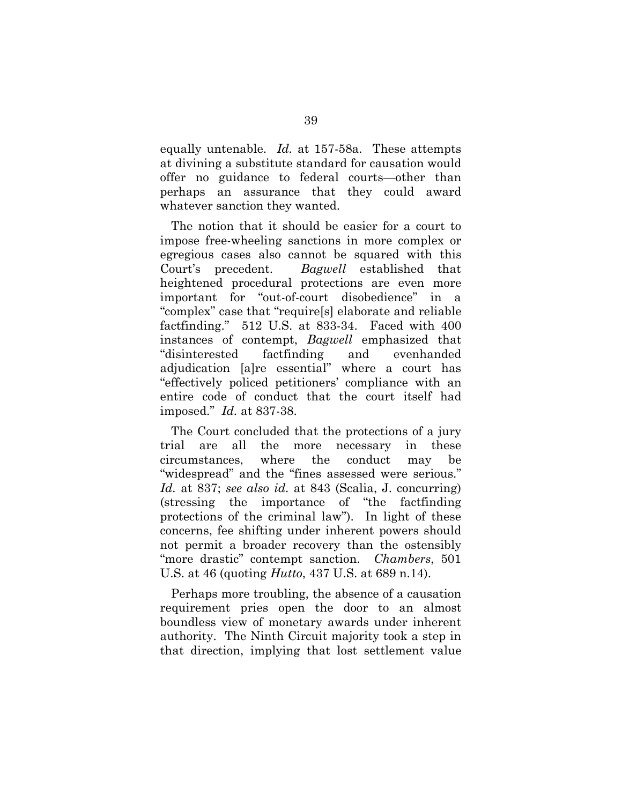equally untenable. *Id.* at 157-58a. These attempts at divining a substitute standard for causation would offer no guidance to federal courts—other than perhaps an assurance that they could award whatever sanction they wanted.

The notion that it should be easier for a court to impose free-wheeling sanctions in more complex or egregious cases also cannot be squared with this Court's precedent. *Bagwell* established that heightened procedural protections are even more important for "out-of-court disobedience" in a "complex" case that "require[s] elaborate and reliable factfinding." 512 U.S. at 833-34. Faced with 400 instances of contempt, *Bagwell* emphasized that "disinterested factfinding and evenhanded adjudication [a]re essential" where a court has "effectively policed petitioners' compliance with an entire code of conduct that the court itself had imposed." *Id.* at 837-38.

The Court concluded that the protections of a jury trial are all the more necessary in these circumstances, where the conduct may be "widespread" and the "fines assessed were serious." *Id.* at 837; *see also id.* at 843 (Scalia, J. concurring) (stressing the importance of "the factfinding protections of the criminal law"). In light of these concerns, fee shifting under inherent powers should not permit a broader recovery than the ostensibly "more drastic" contempt sanction. *Chambers*, 501 U.S. at 46 (quoting *Hutto*, 437 U.S. at 689 n.14).

Perhaps more troubling, the absence of a causation requirement pries open the door to an almost boundless view of monetary awards under inherent authority. The Ninth Circuit majority took a step in that direction, implying that lost settlement value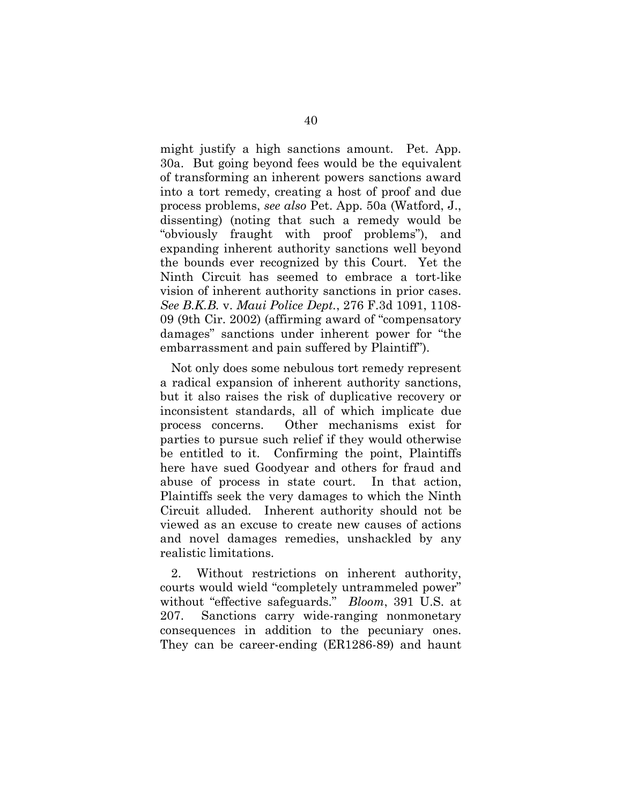might justify a high sanctions amount. Pet. App. 30a. But going beyond fees would be the equivalent of transforming an inherent powers sanctions award into a tort remedy, creating a host of proof and due process problems, *see also* Pet. App. 50a (Watford, J., dissenting) (noting that such a remedy would be "obviously fraught with proof problems"), and expanding inherent authority sanctions well beyond the bounds ever recognized by this Court. Yet the Ninth Circuit has seemed to embrace a tort-like vision of inherent authority sanctions in prior cases. *See B.K.B.* v. *Maui Police Dept.*, 276 F.3d 1091, 1108- 09 (9th Cir. 2002) (affirming award of "compensatory damages" sanctions under inherent power for "the embarrassment and pain suffered by Plaintiff").

Not only does some nebulous tort remedy represent a radical expansion of inherent authority sanctions, but it also raises the risk of duplicative recovery or inconsistent standards, all of which implicate due process concerns. Other mechanisms exist for parties to pursue such relief if they would otherwise be entitled to it. Confirming the point, Plaintiffs here have sued Goodyear and others for fraud and abuse of process in state court. In that action, Plaintiffs seek the very damages to which the Ninth Circuit alluded. Inherent authority should not be viewed as an excuse to create new causes of actions and novel damages remedies, unshackled by any realistic limitations.

2. Without restrictions on inherent authority, courts would wield "completely untrammeled power" without "effective safeguards." *Bloom*, 391 U.S. at 207. Sanctions carry wide-ranging nonmonetary consequences in addition to the pecuniary ones. They can be career-ending (ER1286-89) and haunt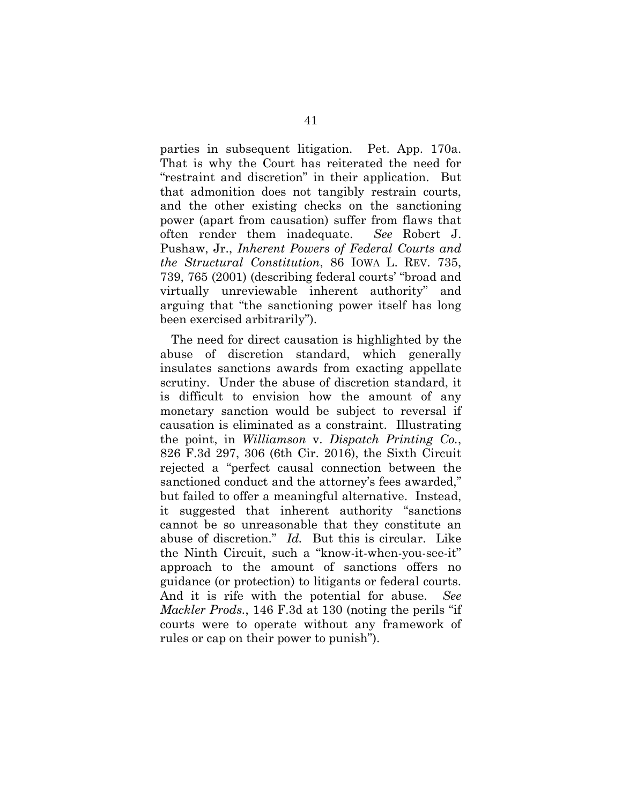parties in subsequent litigation. Pet. App. 170a. That is why the Court has reiterated the need for "restraint and discretion" in their application. But that admonition does not tangibly restrain courts, and the other existing checks on the sanctioning power (apart from causation) suffer from flaws that often render them inadequate. *See* Robert J. Pushaw, Jr., *Inherent Powers of Federal Courts and the Structural Constitution*, 86 IOWA L. REV. 735, 739, 765 (2001) (describing federal courts' "broad and virtually unreviewable inherent authority" and arguing that "the sanctioning power itself has long been exercised arbitrarily").

The need for direct causation is highlighted by the abuse of discretion standard, which generally insulates sanctions awards from exacting appellate scrutiny. Under the abuse of discretion standard, it is difficult to envision how the amount of any monetary sanction would be subject to reversal if causation is eliminated as a constraint. Illustrating the point, in *Williamson* v. *Dispatch Printing Co.*, 826 F.3d 297, 306 (6th Cir. 2016), the Sixth Circuit rejected a "perfect causal connection between the sanctioned conduct and the attorney's fees awarded," but failed to offer a meaningful alternative. Instead, it suggested that inherent authority "sanctions cannot be so unreasonable that they constitute an abuse of discretion." *Id.* But this is circular. Like the Ninth Circuit, such a "know-it-when-you-see-it" approach to the amount of sanctions offers no guidance (or protection) to litigants or federal courts. And it is rife with the potential for abuse. *See Mackler Prods.*, 146 F.3d at 130 (noting the perils "if courts were to operate without any framework of rules or cap on their power to punish").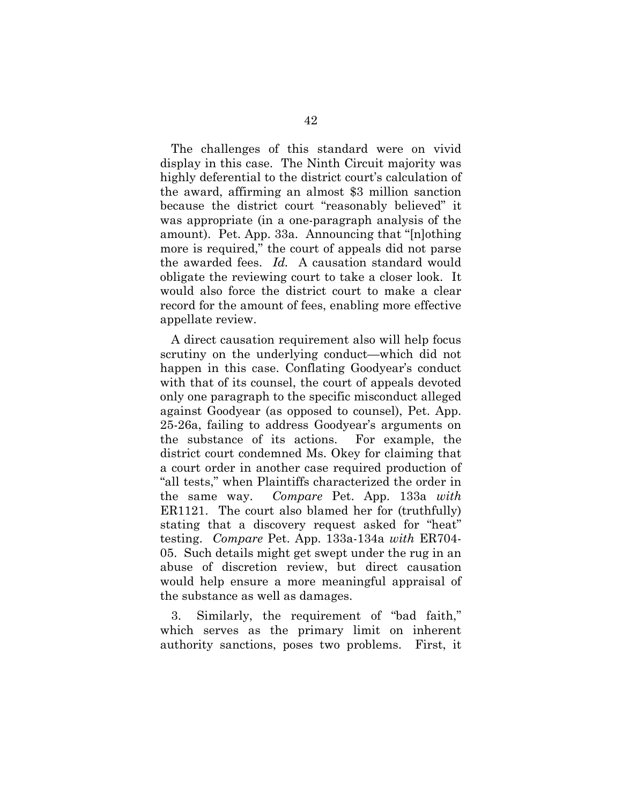The challenges of this standard were on vivid display in this case. The Ninth Circuit majority was highly deferential to the district court's calculation of the award, affirming an almost \$3 million sanction because the district court "reasonably believed" it was appropriate (in a one-paragraph analysis of the amount). Pet. App. 33a. Announcing that "[n]othing more is required," the court of appeals did not parse the awarded fees. *Id.* A causation standard would obligate the reviewing court to take a closer look. It would also force the district court to make a clear record for the amount of fees, enabling more effective appellate review.

A direct causation requirement also will help focus scrutiny on the underlying conduct—which did not happen in this case. Conflating Goodyear's conduct with that of its counsel, the court of appeals devoted only one paragraph to the specific misconduct alleged against Goodyear (as opposed to counsel), Pet. App. 25-26a, failing to address Goodyear's arguments on the substance of its actions. For example, the district court condemned Ms. Okey for claiming that a court order in another case required production of "all tests," when Plaintiffs characterized the order in the same way. *Compare* Pet. App. 133a *with* ER1121. The court also blamed her for (truthfully) stating that a discovery request asked for "heat" testing. *Compare* Pet. App. 133a-134a *with* ER704- 05. Such details might get swept under the rug in an abuse of discretion review, but direct causation would help ensure a more meaningful appraisal of the substance as well as damages.

3. Similarly, the requirement of "bad faith," which serves as the primary limit on inherent authority sanctions, poses two problems. First, it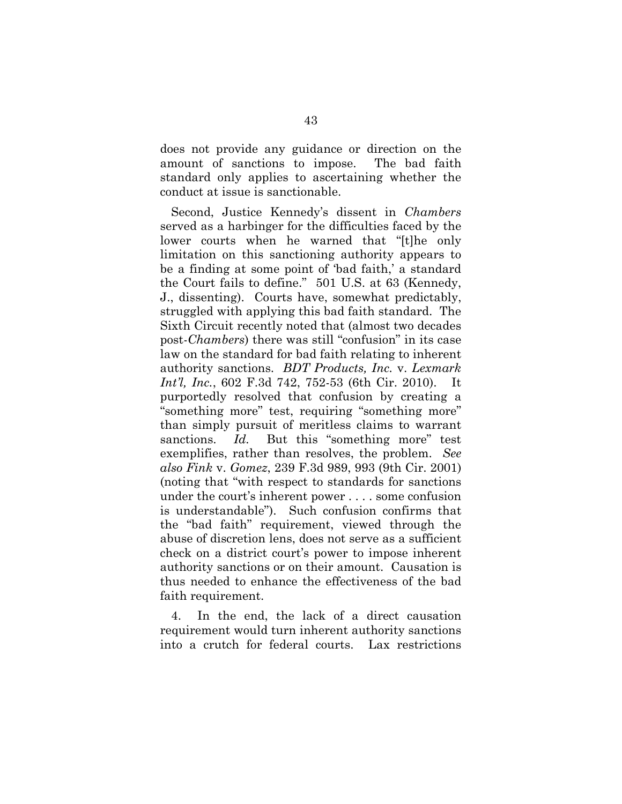does not provide any guidance or direction on the amount of sanctions to impose. The bad faith standard only applies to ascertaining whether the conduct at issue is sanctionable.

Second, Justice Kennedy's dissent in *Chambers* served as a harbinger for the difficulties faced by the lower courts when he warned that "[t]he only limitation on this sanctioning authority appears to be a finding at some point of 'bad faith,' a standard the Court fails to define." 501 U.S. at 63 (Kennedy, J., dissenting). Courts have, somewhat predictably, struggled with applying this bad faith standard. The Sixth Circuit recently noted that (almost two decades post-*Chambers*) there was still "confusion" in its case law on the standard for bad faith relating to inherent authority sanctions. *BDT Products, Inc.* v. *Lexmark Int'l, Inc.*, 602 F.3d 742, 752-53 (6th Cir. 2010). It purportedly resolved that confusion by creating a "something more" test, requiring "something more" than simply pursuit of meritless claims to warrant sanctions. *Id.* But this "something more" test exemplifies, rather than resolves, the problem. *See also Fink* v. *Gomez*, 239 F.3d 989, 993 (9th Cir. 2001) (noting that "with respect to standards for sanctions under the court's inherent power . . . . some confusion is understandable"). Such confusion confirms that the "bad faith" requirement, viewed through the abuse of discretion lens, does not serve as a sufficient check on a district court's power to impose inherent authority sanctions or on their amount. Causation is thus needed to enhance the effectiveness of the bad faith requirement.

4. In the end, the lack of a direct causation requirement would turn inherent authority sanctions into a crutch for federal courts. Lax restrictions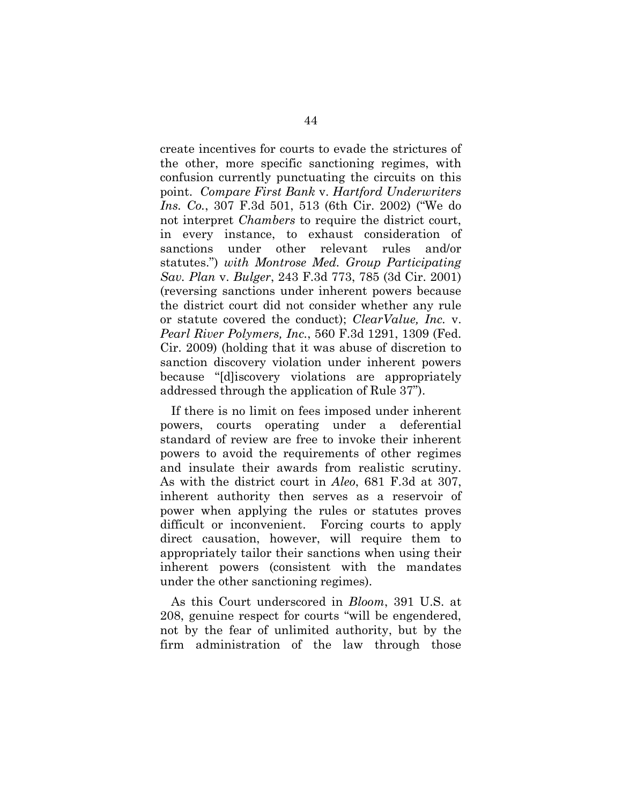create incentives for courts to evade the strictures of the other, more specific sanctioning regimes, with confusion currently punctuating the circuits on this point. *Compare First Bank* v. *Hartford Underwriters Ins. Co.*, 307 F.3d 501, 513 (6th Cir. 2002) ("We do not interpret *Chambers* to require the district court, in every instance, to exhaust consideration of sanctions under other relevant rules and/or statutes.") *with Montrose Med. Group Participating Sav. Plan* v. *Bulger*, 243 F.3d 773, 785 (3d Cir. 2001) (reversing sanctions under inherent powers because the district court did not consider whether any rule or statute covered the conduct); *ClearValue, Inc.* v. *Pearl River Polymers, Inc.*, 560 F.3d 1291, 1309 (Fed. Cir. 2009) (holding that it was abuse of discretion to sanction discovery violation under inherent powers because "[d]iscovery violations are appropriately addressed through the application of Rule 37").

If there is no limit on fees imposed under inherent powers, courts operating under a deferential standard of review are free to invoke their inherent powers to avoid the requirements of other regimes and insulate their awards from realistic scrutiny. As with the district court in *Aleo*, 681 F.3d at 307, inherent authority then serves as a reservoir of power when applying the rules or statutes proves difficult or inconvenient. Forcing courts to apply direct causation, however, will require them to appropriately tailor their sanctions when using their inherent powers (consistent with the mandates under the other sanctioning regimes).

As this Court underscored in *Bloom*, 391 U.S. at 208, genuine respect for courts "will be engendered, not by the fear of unlimited authority, but by the firm administration of the law through those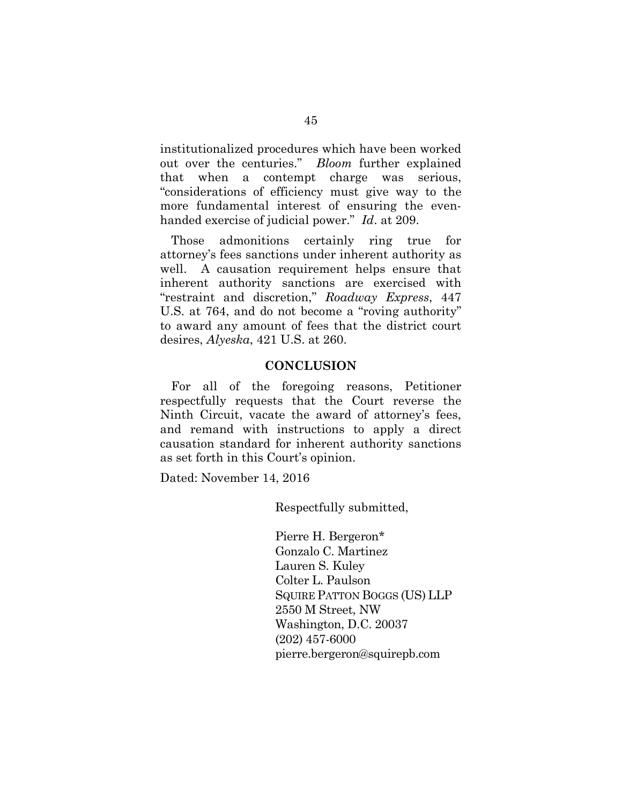institutionalized procedures which have been worked out over the centuries." *Bloom* further explained that when a contempt charge was serious, "considerations of efficiency must give way to the more fundamental interest of ensuring the evenhanded exercise of judicial power." *Id*. at 209.

Those admonitions certainly ring true for attorney's fees sanctions under inherent authority as well. A causation requirement helps ensure that inherent authority sanctions are exercised with "restraint and discretion," *Roadway Express*, 447 U.S. at 764, and do not become a "roving authority" to award any amount of fees that the district court desires, *Alyeska*, 421 U.S. at 260.

#### **CONCLUSION**

For all of the foregoing reasons, Petitioner respectfully requests that the Court reverse the Ninth Circuit, vacate the award of attorney's fees, and remand with instructions to apply a direct causation standard for inherent authority sanctions as set forth in this Court's opinion.

Dated: November 14, 2016

Respectfully submitted,

Pierre H. Bergeron\* Gonzalo C. Martinez Lauren S. Kuley Colter L. Paulson SQUIRE PATTON BOGGS (US) LLP 2550 M Street, NW Washington, D.C. 20037 (202) 457-6000 pierre.bergeron@squirepb.com